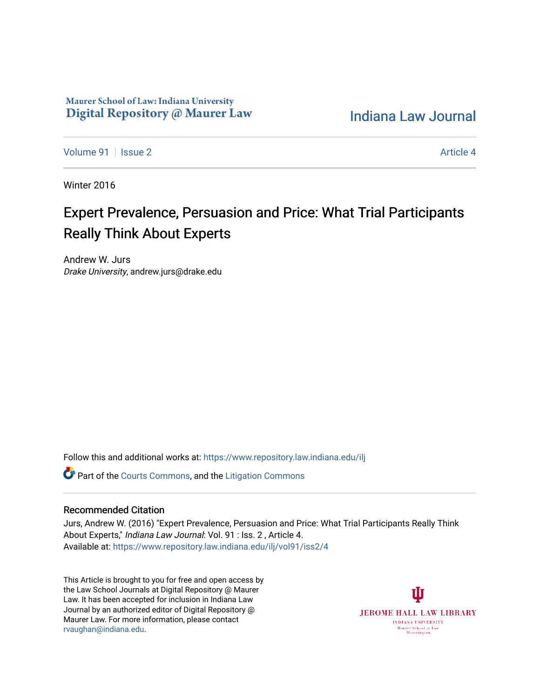## Maurer School of Law: Indiana University Digital Repository @ Maurer Law

[Indiana Law Journal](https://www.repository.law.indiana.edu/ilj) 

[Volume 91](https://www.repository.law.indiana.edu/ilj/vol91) | [Issue 2](https://www.repository.law.indiana.edu/ilj/vol91/iss2) Article 4

Winter 2016

# Expert Prevalence, Persuasion and Price: What Trial Participants Really Think About Experts

Andrew W. Jurs Drake University, andrew.jurs@drake.edu

Follow this and additional works at: [https://www.repository.law.indiana.edu/ilj](https://www.repository.law.indiana.edu/ilj?utm_source=www.repository.law.indiana.edu%2Filj%2Fvol91%2Fiss2%2F4&utm_medium=PDF&utm_campaign=PDFCoverPages) 

**C** Part of the [Courts Commons,](http://network.bepress.com/hgg/discipline/839?utm_source=www.repository.law.indiana.edu%2Filj%2Fvol91%2Fiss2%2F4&utm_medium=PDF&utm_campaign=PDFCoverPages) and the Litigation Commons

### Recommended Citation

Jurs, Andrew W. (2016) "Expert Prevalence, Persuasion and Price: What Trial Participants Really Think About Experts," Indiana Law Journal: Vol. 91 : Iss. 2 , Article 4. Available at: [https://www.repository.law.indiana.edu/ilj/vol91/iss2/4](https://www.repository.law.indiana.edu/ilj/vol91/iss2/4?utm_source=www.repository.law.indiana.edu%2Filj%2Fvol91%2Fiss2%2F4&utm_medium=PDF&utm_campaign=PDFCoverPages) 

This Article is brought to you for free and open access by the Law School Journals at Digital Repository @ Maurer Law. It has been accepted for inclusion in Indiana Law Journal by an authorized editor of Digital Repository @ Maurer Law. For more information, please contact [rvaughan@indiana.edu.](mailto:rvaughan@indiana.edu)

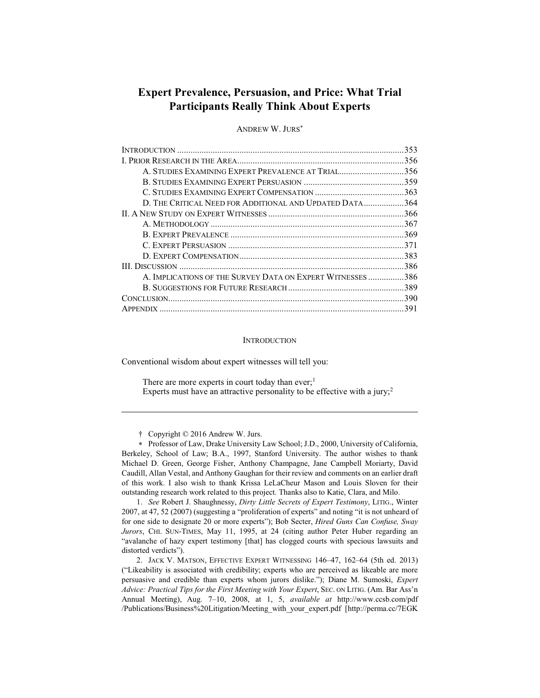## **Expert Prevalence, Persuasion, and Price: What Trial Participants Really Think About Experts**

**ANDREW W. JURS\*** 

|                                                            | 353 |
|------------------------------------------------------------|-----|
|                                                            |     |
| A. STUDIES EXAMINING EXPERT PREVALENCE AT TRIAL356         |     |
|                                                            |     |
|                                                            |     |
| D. THE CRITICAL NEED FOR ADDITIONAL AND UPDATED DATA364    |     |
|                                                            |     |
|                                                            |     |
|                                                            |     |
|                                                            |     |
|                                                            |     |
|                                                            |     |
| A. IMPLICATIONS OF THE SURVEY DATA ON EXPERT WITNESSES 386 |     |
|                                                            |     |
|                                                            |     |
|                                                            |     |

#### **INTRODUCTION**

Conventional wisdom about expert witnesses will tell you:

There are more experts in court today than ever;<sup>1</sup> Experts must have an attractive personality to be effective with a jury;<sup>2</sup>

† Copyright © 2016 Andrew W. Jurs.

\* Professor of Law, Drake University Law School; J.D., 2000, University of California, Berkeley, School of Law; B.A., 1997, Stanford University. The author wishes to thank Michael D. Green, George Fisher, Anthony Champagne, Jane Campbell Moriarty, David Caudill, Allan Vestal, and Anthony Gaughan for their review and comments on an earlier draft of this work. I also wish to thank Krissa LeLaCheur Mason and Louis Sloven for their outstanding research work related to this project. Thanks also to Katie, Clara, and Milo.

1. See Robert J. Shaughnessy, Dirty Little Secrets of Expert Testimony, LITIG., Winter 2007, at 47, 52 (2007) (suggesting a "proliferation of experts" and noting "it is not unheard of for one side to designate 20 or more experts"); Bob Secter, *Hired Guns Can Confuse*, *Sway* Jurors, CHI. SUN-TIMES, May 11, 1995, at 24 (citing author Peter Huber regarding an "avalanche of hazy expert testimony [that] has clogged courts with specious lawsuits and distorted verdicts").

2. JACK V. MATSON, EFFECTIVE EXPERT WITNESSING 146-47, 162-64 (5th ed. 2013) ("Likeability is associated with credibility; experts who are perceived as likeable are more persuasive and credible than experts whom jurors dislike."); Diane M. Sumoski, Expert Advice: Practical Tips for the First Meeting with Your Expert, SEC. ON LITIG. (Am. Bar Ass'n Annual Meeting), Aug. 7-10, 2008, at 1, 5, available at http://www.ccsb.com/pdf /Publications/Business%20Litigation/Meeting with your expert.pdf [http://perma.cc/7EGK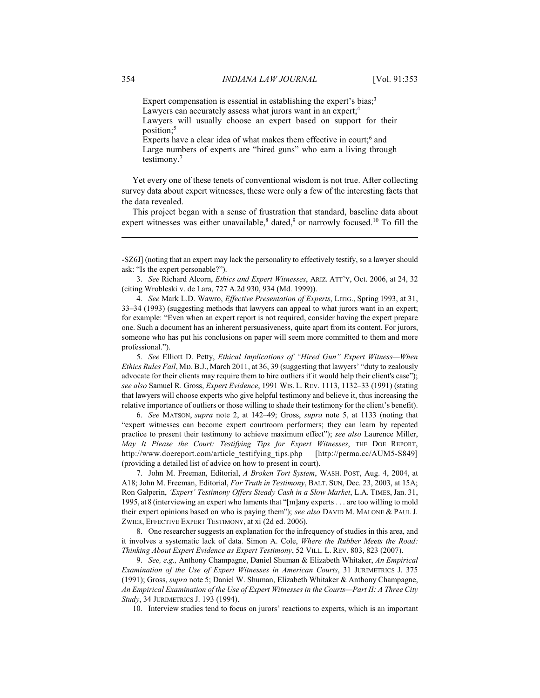Expert compensation is essential in establishing the expert's bias;<sup>3</sup> Lawyers can accurately assess what jurors want in an expert;<sup>4</sup> Lawyers will usually choose an expert based on support for their position:<sup>5</sup>

Experts have a clear idea of what makes them effective in court;<sup>6</sup> and Large numbers of experts are "hired guns" who earn a living through testimony. $7$ 

Yet every one of these tenets of conventional wisdom is not true. After collecting survey data about expert witnesses, these were only a few of the interesting facts that the data revealed.

This project began with a sense of frustration that standard, baseline data about expert witnesses was either unavailable,<sup>8</sup> dated,<sup>9</sup> or narrowly focused.<sup>10</sup> To fill the

3. See Richard Alcorn, Ethics and Expert Witnesses, ARIZ. ATT'Y, Oct. 2006, at 24, 32 (citing Wrobleski v. de Lara, 727 A.2d 930, 934 (Md. 1999)).

4. See Mark L.D. Wawro, Effective Presentation of Experts, LITIG., Spring 1993, at 31, 33–34 (1993) (suggesting methods that lawyers can appeal to what jurors want in an expert; for example: "Even when an expert report is not required, consider having the expert prepare one. Such a document has an inherent persuasiveness, quite apart from its content. For jurors, someone who has put his conclusions on paper will seem more committed to them and more professional.").

5. See Elliott D. Petty, Ethical Implications of "Hired Gun" Expert Witness-When Ethics Rules Fail, MD. B.J., March 2011, at 36, 39 (suggesting that lawyers' "duty to zealously advocate for their clients may require them to hire outliers if it would help their client's case"); see also Samuel R. Gross, Expert Evidence, 1991 Wis. L. REV. 1113, 1132-33 (1991) (stating that lawyers will choose experts who give helpful testimony and believe it, thus increasing the relative importance of outliers or those willing to shade their testimony for the client's benefit).

6. See MATSON, supra note 2, at 142-49; Gross, supra note 5, at 1133 (noting that "expert witnesses can become expert courtroom performers; they can learn by repeated practice to present their testimony to achieve maximum effect"); see also Laurence Miller, May It Please the Court: Testifying Tips for Expert Witnesses, THE DOE REPORT, http://www.doereport.com/article testifying tips.php [http://perma.cc/AUM5-S849] (providing a detailed list of advice on how to present in court).

7. John M. Freeman, Editorial, A Broken Tort System, WASH. POST, Aug. 4, 2004, at A18; John M. Freeman, Editorial, For Truth in Testimony, BALT. SUN, Dec. 23, 2003, at 15A; Ron Galperin, 'Expert' Testimony Offers Steady Cash in a Slow Market, L.A. TIMES, Jan. 31, 1995, at 8 (interviewing an expert who laments that "[m]any experts . . . are too willing to mold their expert opinions based on who is paying them"); see also DAVID M. MALONE & PAUL J. ZWIER, EFFECTIVE EXPERT TESTIMONY, at xi (2d ed. 2006).

8. One researcher suggests an explanation for the infrequency of studies in this area, and it involves a systematic lack of data. Simon A. Cole, Where the Rubber Meets the Road: Thinking About Expert Evidence as Expert Testimony, 52 VILL. L. REV. 803, 823 (2007).

9. See, e.g., Anthony Champagne, Daniel Shuman & Elizabeth Whitaker, An Empirical Examination of the Use of Expert Witnesses in American Courts, 31 JURIMETRICS J. 375 (1991); Gross, *supra* note 5; Daniel W. Shuman, Elizabeth Whitaker & Anthony Champagne, An Empirical Examination of the Use of Expert Witnesses in the Courts-Part II: A Three City Study, 34 JURIMETRICS J. 193 (1994).

10. Interview studies tend to focus on jurors' reactions to experts, which is an important

<sup>-</sup>SZ6J] (noting that an expert may lack the personality to effectively testify, so a lawyer should ask: "Is the expert personable?").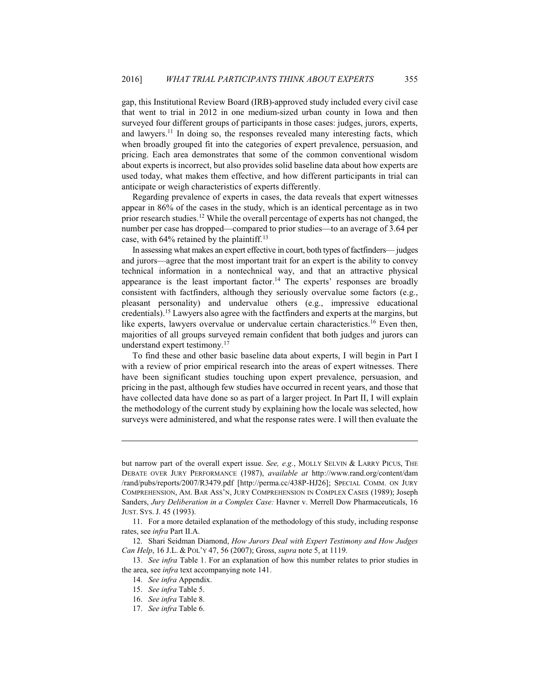gap, this Institutional Review Board (IRB)-approved study included every civil case that went to trial in 2012 in one medium-sized urban county in Iowa and then surveyed four different groups of participants in those cases: judges, jurors, experts, and lawyers.<sup>11</sup> In doing so, the responses revealed many interesting facts, which when broadly grouped fit into the categories of expert prevalence, persuasion, and pricing. Each area demonstrates that some of the common conventional wisdom about experts is incorrect, but also provides solid baseline data about how experts are used today, what makes them effective, and how different participants in trial can anticipate or weigh characteristics of experts differently.

Regarding prevalence of experts in cases, the data reveals that expert witnesses appear in 86% of the cases in the study, which is an identical percentage as in two prior research studies.<sup>12</sup> While the overall percentage of experts has not changed, the number per case has dropped—compared to prior studies—to an average of 3.64 per case, with  $64\%$  retained by the plaintiff.<sup>13</sup>

In assessing what makes an expert effective in court, both types of factfinders— judges and jurors—agree that the most important trait for an expert is the ability to convey technical information in a nontechnical way, and that an attractive physical appearance is the least important factor.<sup>14</sup> The experts' responses are broadly consistent with factfinders, although they seriously overvalue some factors (e.g., pleasant personality) and undervalue others (e.g., impressive educational credentials).<sup>15</sup> Lawyers also agree with the fact finders and experts at the margins, but like experts, lawyers overvalue or undervalue certain characteristics.<sup>16</sup> Even then, majorities of all groups surveyed remain confident that both judges and jurors can understand expert testimony.<sup>17</sup>

To find these and other basic baseline data about experts, I will begin in Part I with a review of prior empirical research into the areas of expert witnesses. There have been significant studies touching upon expert prevalence, persuasion, and pricing in the past, although few studies have occurred in recent years, and those that have collected data have done so as part of a larger project. In Part II, I will explain the methodology of the current study by explaining how the locale was selected, how surveys were administered, and what the response rates were. I will then evaluate the

but narrow part of the overall expert issue. See, e.g., MOLLY SELVIN & LARRY PICUS, THE DEBATE OVER JURY PERFORMANCE (1987), available at http://www.rand.org/content/dam /rand/pubs/reports/2007/R3479.pdf [http://perma.cc/438P-HJ26]; SPECIAL COMM. ON JURY COMPREHENSION, AM. BAR ASS'N, JURY COMPREHENSION IN COMPLEX CASES (1989); Joseph Sanders, Jury Deliberation in a Complex Case: Havner v. Merrell Dow Pharmaceuticals, 16 JUST. SYS. J. 45 (1993).

<sup>11.</sup> For a more detailed explanation of the methodology of this study, including response rates, see infra Part II.A.

<sup>12.</sup> Shari Seidman Diamond, How Jurors Deal with Expert Testimony and How Judges Can Help, 16 J.L. & POL'Y 47, 56 (2007); Gross, *supra* note 5, at 1119.

<sup>13.</sup> See infra Table 1. For an explanation of how this number relates to prior studies in the area, see *infra* text accompanying note 141.

<sup>14.</sup> See infra Appendix.

<sup>15.</sup> See infra Table 5.

<sup>16.</sup> See infra Table 8.

<sup>17.</sup> See infra Table 6.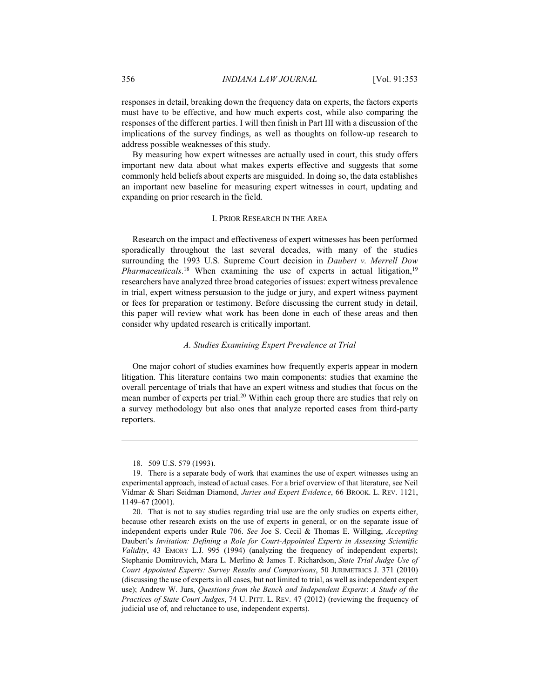responses in detail, breaking down the frequency data on experts, the factors experts must have to be effective, and how much experts cost, while also comparing the responses of the different parties. I will then finish in Part III with a discussion of the implications of the survey findings, as well as thoughts on follow-up research to address possible weaknesses of this study.

By measuring how expert witnesses are actually used in court, this study offers important new data about what makes experts effective and suggests that some commonly held beliefs about experts are misguided. In doing so, the data establishes an important new baseline for measuring expert witnesses in court, updating and expanding on prior research in the field.

#### I. PRIOR RESEARCH IN THE AREA

Research on the impact and effectiveness of expert witnesses has been performed sporadically throughout the last several decades, with many of the studies surrounding the 1993 U.S. Supreme Court decision in Daubert v. Merrell Dow Pharmaceuticals.<sup>18</sup> When examining the use of experts in actual litigation,<sup>19</sup> researchers have analyzed three broad categories of issues: expert witness prevalence in trial, expert witness persuasion to the judge or jury, and expert witness payment or fees for preparation or testimony. Before discussing the current study in detail, this paper will review what work has been done in each of these areas and then consider why updated research is critically important.

#### A. Studies Examining Expert Prevalence at Trial

One major cohort of studies examines how frequently experts appear in modern litigation. This literature contains two main components: studies that examine the overall percentage of trials that have an expert witness and studies that focus on the mean number of experts per trial.<sup>20</sup> Within each group there are studies that rely on a survey methodology but also ones that analyze reported cases from third-party reporters.

<sup>18. 509</sup> U.S. 579 (1993).

<sup>19.</sup> There is a separate body of work that examines the use of expert witnesses using an experimental approach, instead of actual cases. For a brief overview of that literature, see Neil Vidmar & Shari Seidman Diamond, Juries and Expert Evidence, 66 BROOK. L. REV. 1121, 1149-67 (2001).

<sup>20.</sup> That is not to say studies regarding trial use are the only studies on experts either, because other research exists on the use of experts in general, or on the separate issue of independent experts under Rule 706. See Joe S. Cecil & Thomas E. Willging, Accepting Daubert's Invitation: Defining a Role for Court-Appointed Experts in Assessing Scientific Validity, 43 EMORY L.J. 995 (1994) (analyzing the frequency of independent experts); Stephanie Domitrovich, Mara L. Merlino & James T. Richardson, State Trial Judge Use of Court Appointed Experts: Survey Results and Comparisons, 50 JURIMETRICS J. 371 (2010) (discussing the use of experts in all cases, but not limited to trial, as well as independent expert use); Andrew W. Jurs, Questions from the Bench and Independent Experts: A Study of the Practices of State Court Judges, 74 U. PITT. L. REV. 47 (2012) (reviewing the frequency of judicial use of, and reluctance to use, independent experts).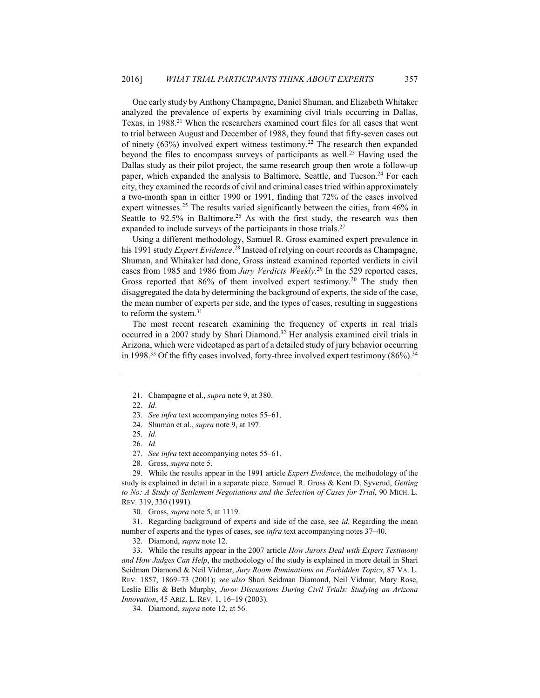One early study by Anthony Champagne, Daniel Shuman, and Elizabeth Whitaker analyzed the prevalence of experts by examining civil trials occurring in Dallas, Texas, in 1988.<sup>21</sup> When the researchers examined court files for all cases that went to trial between August and December of 1988, they found that fifty-seven cases out of ninety (63%) involved expert witness testimony.<sup>22</sup> The research then expanded beyond the files to encompass surveys of participants as well.<sup>23</sup> Having used the Dallas study as their pilot project, the same research group then wrote a follow-up paper, which expanded the analysis to Baltimore, Seattle, and Tucson.<sup>24</sup> For each city, they examined the records of civil and criminal cases tried within approximately a two-month span in either 1990 or 1991, finding that 72% of the cases involved expert witnesses.<sup>25</sup> The results varied significantly between the cities, from 46% in Seattle to 92.5% in Baltimore.<sup>26</sup> As with the first study, the research was then expanded to include surveys of the participants in those trials.<sup>27</sup>

Using a different methodology, Samuel R. Gross examined expert prevalence in his 1991 study Expert Evidence.<sup>28</sup> Instead of relying on court records as Champagne, Shuman, and Whitaker had done, Gross instead examined reported verdicts in civil cases from 1985 and 1986 from Jury Verdicts Weekly.<sup>29</sup> In the 529 reported cases, Gross reported that  $86\%$  of them involved expert testimony.<sup>30</sup> The study then disaggregated the data by determining the background of experts, the side of the case, the mean number of experts per side, and the types of cases, resulting in suggestions to reform the system. $31$ 

The most recent research examining the frequency of experts in real trials occurred in a 2007 study by Shari Diamond.<sup>32</sup> Her analysis examined civil trials in Arizona, which were videotaped as part of a detailed study of jury behavior occurring in 1998.<sup>33</sup> Of the fifty cases involved, forty-three involved expert testimony  $(86\%)$ .<sup>34</sup>

29. While the results appear in the 1991 article *Expert Evidence*, the methodology of the study is explained in detail in a separate piece. Samuel R. Gross & Kent D. Syverud, Getting to No: A Study of Settlement Negotiations and the Selection of Cases for Trial, 90 MICH. L. REV. 319, 330 (1991).

30. Gross, *supra* note 5, at 1119.

31. Regarding background of experts and side of the case, see id. Regarding the mean number of experts and the types of cases, see *infra* text accompanying notes 37–40.

32. Diamond, *supra* note 12.

33. While the results appear in the 2007 article How Jurors Deal with Expert Testimony and How Judges Can Help, the methodology of the study is explained in more detail in Shari Seidman Diamond & Neil Vidmar, Jury Room Ruminations on Forbidden Topics, 87 VA. L. REV. 1857, 1869-73 (2001); see also Shari Seidman Diamond, Neil Vidmar, Mary Rose, Leslie Ellis & Beth Murphy, Juror Discussions During Civil Trials: Studying an Arizona Innovation, 45 ARIZ. L. REV. 1, 16-19 (2003).

34. Diamond, *supra* note 12, at 56.

<sup>21.</sup> Champagne et al., *supra* note 9, at 380.

 $22.$  *Id.* 

<sup>23.</sup> See infra text accompanying notes 55-61.

<sup>24.</sup> Shuman et al., *supra* note 9, at 197.

<sup>25.</sup> Id.

 $26.$  Id.

<sup>27.</sup> See infra text accompanying notes 55–61.

<sup>28.</sup> Gross, *supra* note 5.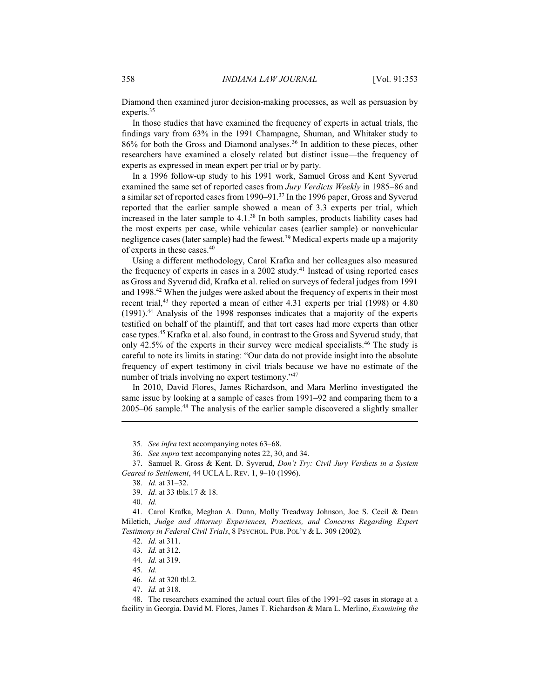Diamond then examined juror decision-making processes, as well as persuasion by experts. $35$ 

In those studies that have examined the frequency of experts in actual trials, the findings vary from 63% in the 1991 Champagne, Shuman, and Whitaker study to 86% for both the Gross and Diamond analyses.<sup>36</sup> In addition to these pieces, other researchers have examined a closely related but distinct issue-the frequency of experts as expressed in mean expert per trial or by party.

In a 1996 follow-up study to his 1991 work, Samuel Gross and Kent Syverud examined the same set of reported cases from Jury Verdicts Weekly in 1985-86 and a similar set of reported cases from 1990–91.<sup>37</sup> In the 1996 paper, Gross and Syverud reported that the earlier sample showed a mean of 3.3 experts per trial, which increased in the later sample to 4.1.<sup>38</sup> In both samples, products liability cases had the most experts per case, while vehicular cases (earlier sample) or nonvehicular negligence cases (later sample) had the fewest.<sup>39</sup> Medical experts made up a majority of experts in these cases.<sup>40</sup>

Using a different methodology, Carol Krafka and her colleagues also measured the frequency of experts in cases in a 2002 study.<sup>41</sup> Instead of using reported cases as Gross and Syverud did, Krafka et al. relied on surveys of federal judges from 1991 and 1998.<sup>42</sup> When the judges were asked about the frequency of experts in their most recent trial,<sup>43</sup> they reported a mean of either 4.31 experts per trial (1998) or 4.80 (1991).<sup>44</sup> Analysis of the 1998 responses indicates that a majority of the experts testified on behalf of the plaintiff, and that tort cases had more experts than other case types.<sup>45</sup> Krafka et al. also found, in contrast to the Gross and Syverud study, that only 42.5% of the experts in their survey were medical specialists.<sup>46</sup> The study is careful to note its limits in stating: "Our data do not provide insight into the absolute frequency of expert testimony in civil trials because we have no estimate of the number of trials involving no expert testimony."47

In 2010, David Flores, James Richardson, and Mara Merlino investigated the same issue by looking at a sample of cases from 1991–92 and comparing them to a 2005–06 sample.<sup>48</sup> The analysis of the earlier sample discovered a slightly smaller

36. See supra text accompanying notes 22, 30, and 34.

37. Samuel R. Gross & Kent. D. Syverud, Don't Try: Civil Jury Verdicts in a System Geared to Settlement, 44 UCLA L. REV. 1, 9-10 (1996).

39. Id. at 33 tbls.17 & 18.

40. Id.

41. Carol Krafka, Meghan A. Dunn, Molly Treadway Johnson, Joe S. Cecil & Dean Miletich, Judge and Attorney Experiences, Practices, and Concerns Regarding Expert Testimony in Federal Civil Trials, 8 PSYCHOL. PUB. POL'Y & L. 309 (2002).

45. Id.

48. The researchers examined the actual court files of the 1991–92 cases in storage at a facility in Georgia. David M. Flores, James T. Richardson & Mara L. Merlino, Examining the

<sup>35.</sup> See infra text accompanying notes 63–68.

<sup>38.</sup> Id. at 31-32.

<sup>42.</sup> *Id.* at 311.

<sup>43.</sup> *Id.* at 312.

<sup>44.</sup> *Id.* at 319.

<sup>46.</sup> *Id.* at 320 tbl.2.

<sup>47.</sup> *Id.* at 318.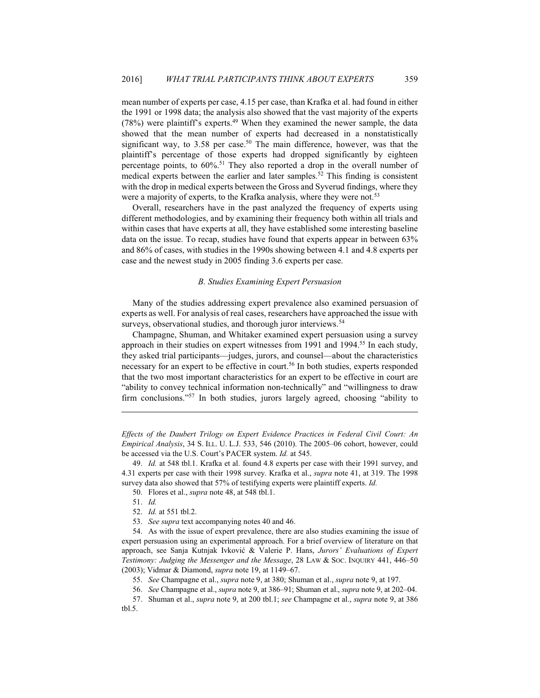mean number of experts per case, 4.15 per case, than Krafka et al. had found in either the 1991 or 1998 data; the analysis also showed that the vast majority of the experts  $(78%)$  were plaintiff's experts.<sup>49</sup> When they examined the newer sample, the data showed that the mean number of experts had decreased in a nonstatistically significant way, to 3.58 per case.<sup>50</sup> The main difference, however, was that the plaintiff's percentage of those experts had dropped significantly by eighteen percentage points, to  $60\%$ <sup>51</sup>. They also reported a drop in the overall number of medical experts between the earlier and later samples.<sup>52</sup> This finding is consistent with the drop in medical experts between the Gross and Syverud findings, where they were a majority of experts, to the Krafka analysis, where they were not.<sup>53</sup>

Overall, researchers have in the past analyzed the frequency of experts using different methodologies, and by examining their frequency both within all trials and within cases that have experts at all, they have established some interesting baseline data on the issue. To recap, studies have found that experts appear in between  $63\%$ and 86% of cases, with studies in the 1990s showing between 4.1 and 4.8 experts per case and the newest study in 2005 finding 3.6 experts per case.

#### **B.** Studies Examining Expert Persuasion

Many of the studies addressing expert prevalence also examined persuasion of experts as well. For analysis of real cases, researchers have approached the issue with surveys, observational studies, and thorough juror interviews.<sup>54</sup>

Champagne, Shuman, and Whitaker examined expert persuasion using a survey approach in their studies on expert witnesses from 1991 and 1994.<sup>55</sup> In each study, they asked trial participants—judges, jurors, and counsel—about the characteristics necessary for an expert to be effective in court.<sup>56</sup> In both studies, experts responded that the two most important characteristics for an expert to be effective in court are "ability to convey technical information non-technically" and "willingness to draw firm conclusions."<sup>57</sup> In both studies, jurors largely agreed, choosing "ability to

Effects of the Daubert Trilogy on Expert Evidence Practices in Federal Civil Court: An *Empirical Analysis*, 34 S. ILL. U. L.J. 533, 546 (2010). The 2005–06 cohort, however, could be accessed via the U.S. Court's PACER system. Id. at 545.

50. Flores et al., *supra* note 48, at 548 tbl.1.

<sup>49.</sup> Id. at 548 tbl.1. Krafka et al. found 4.8 experts per case with their 1991 survey, and 4.31 experts per case with their 1998 survey. Krafka et al., *supra* note 41, at 319. The 1998 survey data also showed that 57% of testifying experts were plaintiff experts. Id.

<sup>51.</sup> Id.

<sup>52.</sup> *Id.* at 551 tbl.2.

<sup>53.</sup> See supra text accompanying notes 40 and 46.

<sup>54.</sup> As with the issue of expert prevalence, there are also studies examining the issue of expert persuasion using an experimental approach. For a brief overview of literature on that approach, see Sanja Kutnjak Ivković & Valerie P. Hans, Jurors' Evaluations of Expert Testimony: Judging the Messenger and the Message, 28 LAW & Soc. INQUIRY 441, 446–50 (2003); Vidmar & Diamond, *supra* note 19, at 1149–67.

<sup>55.</sup> See Champagne et al., supra note 9, at 380; Shuman et al., supra note 9, at 197.

<sup>56.</sup> See Champagne et al., *supra* note 9, at 386–91; Shuman et al., *supra* note 9, at 202–04.

<sup>57.</sup> Shuman et al., *supra* note 9, at 200 tbl.1; *see* Champagne et al., *supra* note 9, at 386  $tb1.5.$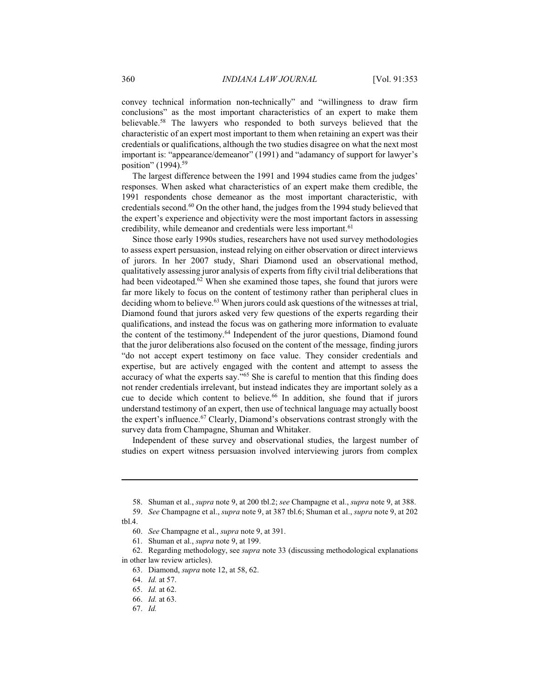convey technical information non-technically" and "willingness to draw firm conclusions" as the most important characteristics of an expert to make them believable.<sup>58</sup> The lawyers who responded to both surveys believed that the characteristic of an expert most important to them when retaining an expert was their credentials or qualifications, although the two studies disagree on what the next most important is: "appearance/demeanor" (1991) and "adamancy of support for lawyer's position" (1994).<sup>59</sup>

The largest difference between the 1991 and 1994 studies came from the judges' responses. When asked what characteristics of an expert make them credible, the 1991 respondents chose demeanor as the most important characteristic, with credentials second.<sup>60</sup> On the other hand, the judges from the 1994 study believed that the expert's experience and objectivity were the most important factors in assessing credibility, while demeanor and credentials were less important.<sup>61</sup>

Since those early 1990s studies, researchers have not used survey methodologies to assess expert persuasion, instead relying on either observation or direct interviews of jurors. In her 2007 study, Shari Diamond used an observational method, qualitatively assessing juror analysis of experts from fifty civil trial deliberations that had been videotaped.<sup>62</sup> When she examined those tapes, she found that jurors were far more likely to focus on the content of testimony rather than peripheral clues in deciding whom to believe.<sup>63</sup> When jurors could ask questions of the witnesses at trial, Diamond found that jurors asked very few questions of the experts regarding their qualifications, and instead the focus was on gathering more information to evaluate the content of the testimony.<sup>64</sup> Independent of the juror questions, Diamond found that the juror deliberations also focused on the content of the message, finding jurors "do not accept expert testimony on face value. They consider credentials and expertise, but are actively engaged with the content and attempt to assess the accuracy of what the experts say."<sup>65</sup> She is careful to mention that this finding does not render credentials irrelevant, but instead indicates they are important solely as a cue to decide which content to believe.<sup>66</sup> In addition, she found that if jurors understand testimony of an expert, then use of technical language may actually boost the expert's influence.<sup>67</sup> Clearly, Diamond's observations contrast strongly with the survey data from Champagne, Shuman and Whitaker.

Independent of these survey and observational studies, the largest number of studies on expert witness persuasion involved interviewing jurors from complex

67. Id.

<sup>58.</sup> Shuman et al., *supra* note 9, at 200 tbl.2; *see* Champagne et al., *supra* note 9, at 388.

See Champagne et al., *supra* note 9, at 387 tbl.6; Shuman et al., *supra* note 9, at 202 59.  $tb1.4.$ 

<sup>60.</sup> See Champagne et al., supra note 9, at 391.

<sup>61.</sup> Shuman et al., *supra* note 9, at 199.

<sup>62.</sup> Regarding methodology, see *supra* note 33 (discussing methodological explanations in other law review articles).

<sup>63.</sup> Diamond, *supra* note 12, at 58, 62.

<sup>64.</sup> *Id.* at 57.

<sup>65.</sup> *Id.* at 62.

<sup>66.</sup> Id. at 63.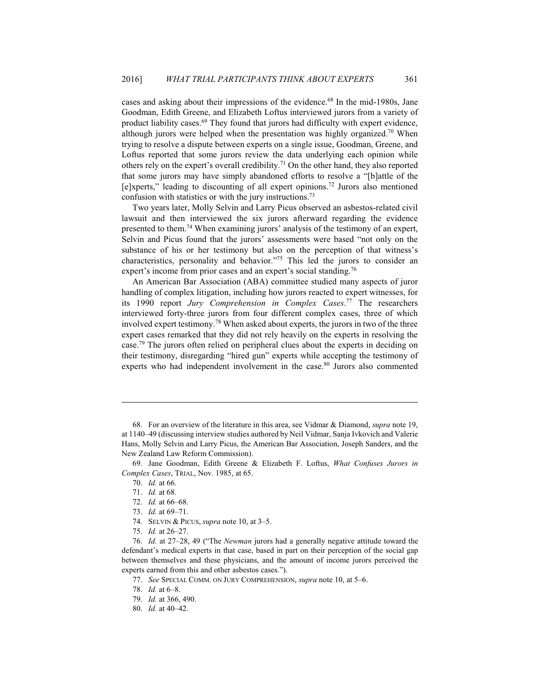cases and asking about their impressions of the evidence.<sup>68</sup> In the mid-1980s, Jane Goodman, Edith Greene, and Elizabeth Loftus interviewed jurors from a variety of product liability cases.<sup>69</sup> They found that jurors had difficulty with expert evidence, although jurors were helped when the presentation was highly organized.<sup>70</sup> When trying to resolve a dispute between experts on a single issue, Goodman, Greene, and Loftus reported that some jurors review the data underlying each opinion while others rely on the expert's overall credibility.<sup>71</sup> On the other hand, they also reported that some jurors may have simply abandoned efforts to resolve a "[b]attle of the [e]xperts," leading to discounting of all expert opinions.<sup>72</sup> Jurors also mentioned confusion with statistics or with the jury instructions.<sup>73</sup>

Two years later, Molly Selvin and Larry Picus observed an asbestos-related civil lawsuit and then interviewed the six jurors afterward regarding the evidence presented to them.<sup>74</sup> When examining jurors' analysis of the testimony of an expert, Selvin and Picus found that the jurors' assessments were based "not only on the substance of his or her testimony but also on the perception of that witness's characteristics, personality and behavior."<sup>75</sup> This led the jurors to consider an expert's income from prior cases and an expert's social standing.<sup>76</sup>

An American Bar Association (ABA) committee studied many aspects of juror handling of complex litigation, including how jurors reacted to expert witnesses, for its 1990 report Jury Comprehension in Complex Cases.<sup>77</sup> The researchers interviewed forty-three jurors from four different complex cases, three of which involved expert testimony.<sup>78</sup> When asked about experts, the jurors in two of the three expert cases remarked that they did not rely heavily on the experts in resolving the case.<sup>79</sup> The jurors often relied on peripheral clues about the experts in deciding on their testimony, disregarding "hired gun" experts while accepting the testimony of experts who had independent involvement in the case.<sup>80</sup> Jurors also commented

<sup>68.</sup> For an overview of the literature in this area, see Vidmar & Diamond, *supra* note 19, at 1140–49 (discussing interview studies authored by Neil Vidmar, Sanja Ivkovich and Valerie Hans, Molly Selvin and Larry Picus, the American Bar Association, Joseph Sanders, and the New Zealand Law Reform Commission).

<sup>69.</sup> Jane Goodman, Edith Greene & Elizabeth F. Loftus, What Confuses Jurors in Complex Cases, TRIAL, Nov. 1985, at 65.

<sup>70.</sup> Id. at 66.

<sup>71.</sup> Id. at 68.

<sup>72.</sup> *Id.* at 66-68.

<sup>73.</sup> *Id.* at 69-71.

<sup>74.</sup> SELVIN & PICUS, *supra* note 10, at 3-5.

<sup>75.</sup> *Id.* at 26-27.

<sup>76.</sup> Id. at 27–28, 49 ("The Newman jurors had a generally negative attitude toward the defendant's medical experts in that case, based in part on their perception of the social gap between themselves and these physicians, and the amount of income jurors perceived the experts earned from this and other asbestos cases.").

<sup>77.</sup> See SPECIAL COMM. ON JURY COMPREHENSION, supra note 10, at 5-6.

<sup>78.</sup> *Id.* at 6-8.

<sup>79.</sup> Id. at 366, 490.

<sup>80.</sup> Id. at 40-42.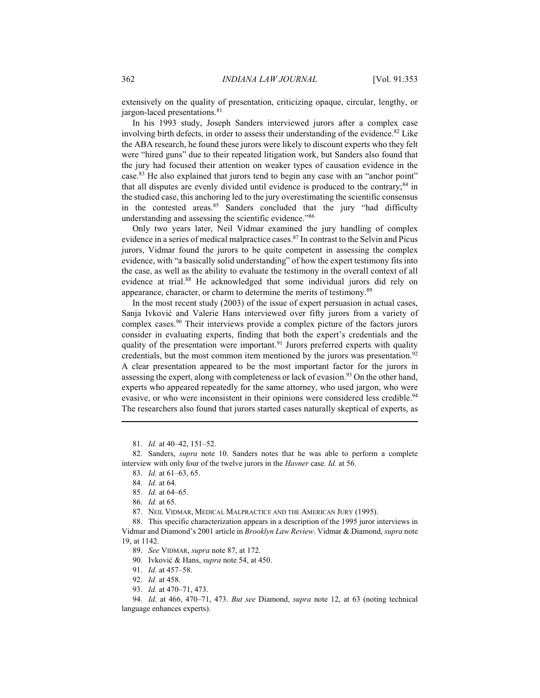extensively on the quality of presentation, criticizing opaque, circular, lengthy, or jargon-laced presentations.<sup>81</sup>

In his 1993 study, Joseph Sanders interviewed jurors after a complex case involving birth defects, in order to assess their understanding of the evidence.<sup>82</sup> Like the ABA research, he found these jurors were likely to discount experts who they felt were "hired guns" due to their repeated litigation work, but Sanders also found that the jury had focused their attention on weaker types of causation evidence in the case.<sup>83</sup> He also explained that jurors tend to begin any case with an "anchor point" that all disputes are evenly divided until evidence is produced to the contrary;<sup>84</sup> in the studied case, this anchoring led to the jury overestimating the scientific consensus in the contested areas.<sup>85</sup> Sanders concluded that the jury "had difficulty understanding and assessing the scientific evidence."86

Only two years later, Neil Vidmar examined the jury handling of complex evidence in a series of medical malpractice cases.<sup>87</sup> In contrast to the Selvin and Picus jurors, Vidmar found the jurors to be quite competent in assessing the complex evidence, with "a basically solid understanding" of how the expert testimony fits into the case, as well as the ability to evaluate the testimony in the overall context of all evidence at trial.<sup>88</sup> He acknowledged that some individual jurors did rely on appearance, character, or charm to determine the merits of testimony.<sup>89</sup>

In the most recent study  $(2003)$  of the issue of expert persuasion in actual cases, Sanja Ivković and Valerie Hans interviewed over fifty jurors from a variety of complex cases.<sup>90</sup> Their interviews provide a complex picture of the factors jurors consider in evaluating experts, finding that both the expert's credentials and the quality of the presentation were important.<sup>91</sup> Jurors preferred experts with quality credentials, but the most common item mentioned by the jurors was presentation.<sup>92</sup> A clear presentation appeared to be the most important factor for the jurors in assessing the expert, along with completeness or lack of evasion.<sup>93</sup> On the other hand, experts who appeared repeatedly for the same attorney, who used jargon, who were evasive, or who were inconsistent in their opinions were considered less credible.<sup>94</sup> The researchers also found that jurors started cases naturally skeptical of experts, as

81. *Id.* at 40–42, 151–52.

82. Sanders, *supra* note 10. Sanders notes that he was able to perform a complete interview with only four of the twelve jurors in the Havner case. Id. at 56.

83. *Id.* at 61–63, 65.

85. Id. at 64-65.

86. Id. at 65.

87. NEIL VIDMAR, MEDICAL MALPRACTICE AND THE AMERICAN JURY (1995).

88. This specific characterization appears in a description of the 1995 juror interviews in Vidmar and Diamond's 2001 article in Brooklyn Law Review. Vidmar & Diamond, supra note 19, at 1142.

89. See VIDMAR, supra note 87, at 172.

90. Ivković & Hans, supra note 54, at 450.

91. Id. at 457-58.

92. *Id.* at 458.

93. *Id.* at 470-71, 473.

94. Id. at 466, 470–71, 473. But see Diamond, supra note 12, at 63 (noting technical language enhances experts).

<sup>84.</sup> Id. at 64.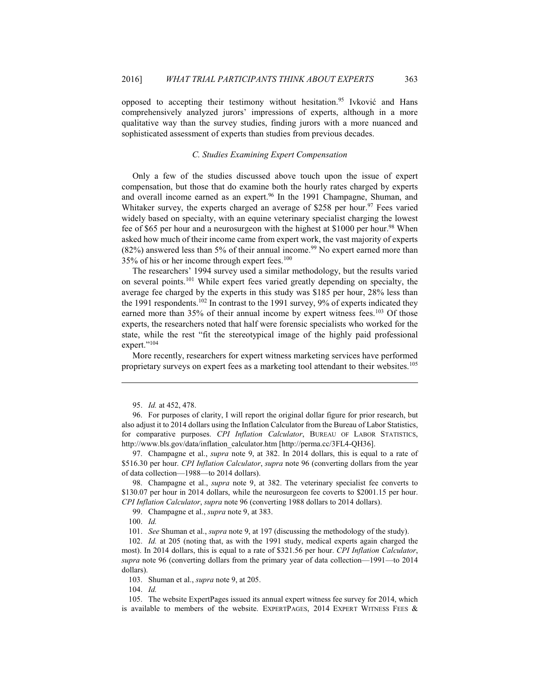opposed to accepting their testimony without hesitation.<sup>95</sup> Ivković and Hans comprehensively analyzed jurors' impressions of experts, although in a more qualitative way than the survey studies, finding jurors with a more nuanced and sophisticated assessment of experts than studies from previous decades.

#### C. Studies Examining Expert Compensation

Only a few of the studies discussed above touch upon the issue of expert compensation, but those that do examine both the hourly rates charged by experts and overall income earned as an expert.<sup>96</sup> In the 1991 Champagne, Shuman, and Whitaker survey, the experts charged an average of \$258 per hour.<sup>97</sup> Fees varied widely based on specialty, with an equine veterinary specialist charging the lowest fee of \$65 per hour and a neurosurgeon with the highest at \$1000 per hour.<sup>98</sup> When asked how much of their income came from expert work, the vast majority of experts  $(82%)$  answered less than 5% of their annual income.<sup>99</sup> No expert earned more than 35% of his or her income through expert fees.<sup>100</sup>

The researchers' 1994 survey used a similar methodology, but the results varied on several points.<sup>101</sup> While expert fees varied greatly depending on specialty, the average fee charged by the experts in this study was \$185 per hour, 28% less than the 1991 respondents.<sup>102</sup> In contrast to the 1991 survey, 9% of experts indicated they earned more than 35% of their annual income by expert witness fees.<sup>103</sup> Of those experts, the researchers noted that half were forensic specialists who worked for the state, while the rest "fit the stereotypical image of the highly paid professional expert."104

More recently, researchers for expert witness marketing services have performed proprietary surveys on expert fees as a marketing tool attendant to their websites.<sup>105</sup>

97. Champagne et al., *supra* note 9, at 382. In 2014 dollars, this is equal to a rate of \$516.30 per hour. CPI Inflation Calculator, supra note 96 (converting dollars from the year of data collection-1988-to 2014 dollars).

98. Champagne et al., *supra* note 9, at 382. The veterinary specialist fee converts to \$130.07 per hour in 2014 dollars, while the neurosurgeon fee coverts to \$2001.15 per hour. CPI Inflation Calculator, supra note 96 (converting 1988 dollars to 2014 dollars).

99. Champagne et al., *supra* note 9, at 383.

101. See Shuman et al., *supra* note 9, at 197 (discussing the methodology of the study).

102. Id. at 205 (noting that, as with the 1991 study, medical experts again charged the most). In 2014 dollars, this is equal to a rate of \$321.56 per hour. CPI Inflation Calculator, supra note 96 (converting dollars from the primary year of data collection—1991—to 2014 dollars).

103. Shuman et al., *supra* note 9, at 205.

104. Id.

105. The website ExpertPages issued its annual expert witness fee survey for 2014, which is available to members of the website. EXPERTPAGES, 2014 EXPERT WITNESS FEES  $\&$ 

<sup>95.</sup> *Id.* at 452, 478.

<sup>96.</sup> For purposes of clarity, I will report the original dollar figure for prior research, but also adjust it to 2014 dollars using the Inflation Calculator from the Bureau of Labor Statistics, for comparative purposes. CPI Inflation Calculator, BUREAU OF LABOR STATISTICS, http://www.bls.gov/data/inflation calculator.htm [http://perma.cc/3FL4-QH36].

 $100.$  Id.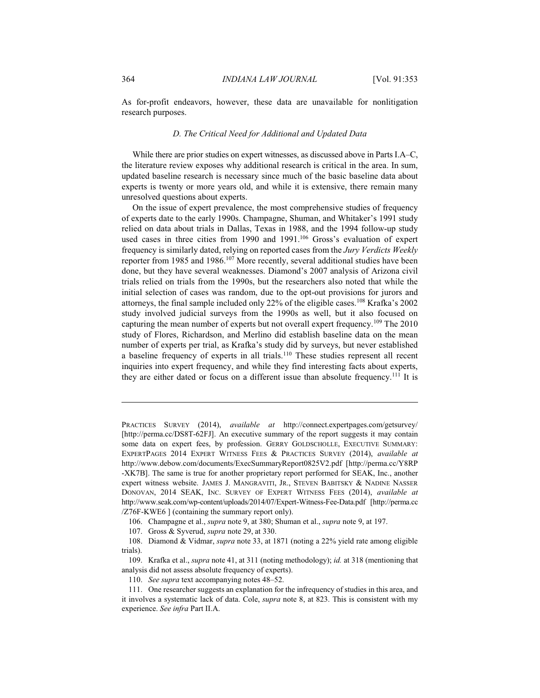As for-profit endeavors, however, these data are unavailable for nonlitigation research purposes.

#### D. The Critical Need for Additional and Updated Data

While there are prior studies on expert witnesses, as discussed above in Parts I.A–C, the literature review exposes why additional research is critical in the area. In sum, updated baseline research is necessary since much of the basic baseline data about experts is twenty or more years old, and while it is extensive, there remain many unresolved questions about experts.

On the issue of expert prevalence, the most comprehensive studies of frequency of experts date to the early 1990s. Champagne, Shuman, and Whitaker's 1991 study relied on data about trials in Dallas, Texas in 1988, and the 1994 follow-up study used cases in three cities from 1990 and 1991.<sup>106</sup> Gross's evaluation of expert frequency is similarly dated, relying on reported cases from the Jury Verdicts Weekly reporter from 1985 and 1986.<sup>107</sup> More recently, several additional studies have been done, but they have several weaknesses. Diamond's 2007 analysis of Arizona civil trials relied on trials from the 1990s, but the researchers also noted that while the initial selection of cases was random, due to the opt-out provisions for jurors and attorneys, the final sample included only 22% of the eligible cases.<sup>108</sup> Krafka's 2002 study involved judicial surveys from the 1990s as well, but it also focused on capturing the mean number of experts but not overall expert frequency.<sup>109</sup> The 2010 study of Flores, Richardson, and Merlino did establish baseline data on the mean number of experts per trial, as Krafka's study did by surveys, but never established a baseline frequency of experts in all trials.<sup>110</sup> These studies represent all recent inquiries into expert frequency, and while they find interesting facts about experts, they are either dated or focus on a different issue than absolute frequency.<sup>111</sup> It is

PRACTICES SURVEY (2014), available at http://connect.expertpages.com/getsurvey/ [http://perma.cc/DS8T-62FJ]. An executive summary of the report suggests it may contain some data on expert fees, by profession. GERRY GOLDSCHOLLE, EXECUTIVE SUMMARY: EXPERTPAGES 2014 EXPERT WITNESS FEES & PRACTICES SURVEY (2014), available at http://www.debow.com/documents/ExecSummaryReport0825V2.pdf [http://perma.cc/Y8RP -XK7B]. The same is true for another proprietary report performed for SEAK, Inc., another expert witness website. JAMES J. MANGRAVITI, JR., STEVEN BABITSKY & NADINE NASSER DONOVAN, 2014 SEAK, INC. SURVEY OF EXPERT WITNESS FEES (2014), available at http://www.seak.com/wp-content/uploads/2014/07/Expert-Witness-Fee-Data.pdf [http://perma.cc /Z76F-KWE6 ] (containing the summary report only).

<sup>106.</sup> Champagne et al., *supra* note 9, at 380; Shuman et al., *supra* note 9, at 197.

<sup>107.</sup> Gross & Syverud, *supra* note 29, at 330.

<sup>108.</sup> Diamond & Vidmar, *supra* note 33, at 1871 (noting a 22% yield rate among eligible trials).

<sup>109.</sup> Krafka et al., *supra* note 41, at 311 (noting methodology); id. at 318 (mentioning that analysis did not assess absolute frequency of experts).

<sup>110.</sup> See supra text accompanying notes 48–52.

<sup>111.</sup> One researcher suggests an explanation for the infrequency of studies in this area, and it involves a systematic lack of data. Cole, *supra* note 8, at 823. This is consistent with my experience. See infra Part II.A.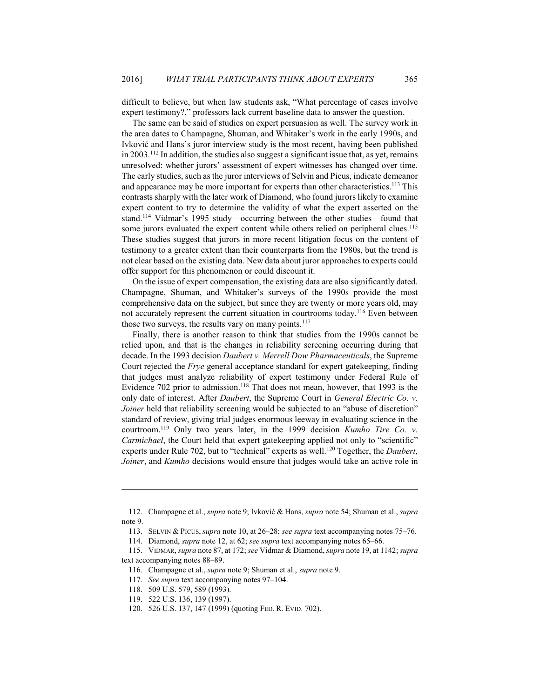difficult to believe, but when law students ask, "What percentage of cases involve expert testimony?," professors lack current baseline data to answer the question.

The same can be said of studies on expert persuasion as well. The survey work in the area dates to Champagne, Shuman, and Whitaker's work in the early 1990s, and Ivković and Hans's juror interview study is the most recent, having been published in 2003.<sup>112</sup> In addition, the studies also suggest a significant issue that, as yet, remains unresolved: whether jurors' assessment of expert witnesses has changed over time. The early studies, such as the juror interviews of Selvin and Picus, indicate demeanor and appearance may be more important for experts than other characteristics.<sup>113</sup> This contrasts sharply with the later work of Diamond, who found jurors likely to examine expert content to try to determine the validity of what the expert asserted on the stand.<sup>114</sup> Vidmar's 1995 study—occurring between the other studies—found that some jurors evaluated the expert content while others relied on peripheral clues.<sup>115</sup> These studies suggest that jurors in more recent litigation focus on the content of testimony to a greater extent than their counterparts from the 1980s, but the trend is not clear based on the existing data. New data about juror approaches to experts could offer support for this phenomenon or could discount it.

On the issue of expert compensation, the existing data are also significantly dated. Champagne, Shuman, and Whitaker's surveys of the 1990s provide the most comprehensive data on the subject, but since they are twenty or more years old, may not accurately represent the current situation in courtrooms today.<sup>116</sup> Even between those two surveys, the results vary on many points.<sup>117</sup>

Finally, there is another reason to think that studies from the 1990s cannot be relied upon, and that is the changes in reliability screening occurring during that decade. In the 1993 decision *Daubert v. Merrell Dow Pharmaceuticals*, the Supreme Court rejected the *Frye* general acceptance standard for expert gatekeeping, finding that judges must analyze reliability of expert testimony under Federal Rule of Evidence 702 prior to admission.<sup>118</sup> That does not mean, however, that 1993 is the only date of interest. After Daubert, the Supreme Court in General Electric Co. v. *Joiner* held that reliability screening would be subjected to an "abuse of discretion" standard of review, giving trial judges enormous leeway in evaluating science in the courtroom.<sup>119</sup> Only two years later, in the 1999 decision Kumho Tire Co. v. Carmichael, the Court held that expert gatekeeping applied not only to "scientific" experts under Rule 702, but to "technical" experts as well.<sup>120</sup> Together, the Daubert, Joiner, and Kumho decisions would ensure that judges would take an active role in

<sup>112.</sup> Champagne et al., *supra* note 9; Ivković & Hans, *supra* note 54; Shuman et al., *supra* note 9.

<sup>113.</sup> SELVIN & PICUS, supra note 10, at 26-28; see supra text accompanying notes 75-76.

<sup>114.</sup> Diamond, *supra* note 12, at 62; see *supra* text accompanying notes 65–66.

<sup>115.</sup> VIDMAR, supra note 87, at 172; see Vidmar & Diamond, supra note 19, at 1142; supra text accompanying notes 88-89.

<sup>116.</sup> Champagne et al., *supra* note 9; Shuman et al., *supra* note 9.

<sup>117.</sup> See supra text accompanying notes 97–104.

<sup>118. 509</sup> U.S. 579, 589 (1993).

<sup>119. 522</sup> U.S. 136, 139 (1997).

<sup>120. 526</sup> U.S. 137, 147 (1999) (quoting FED. R. EVID. 702).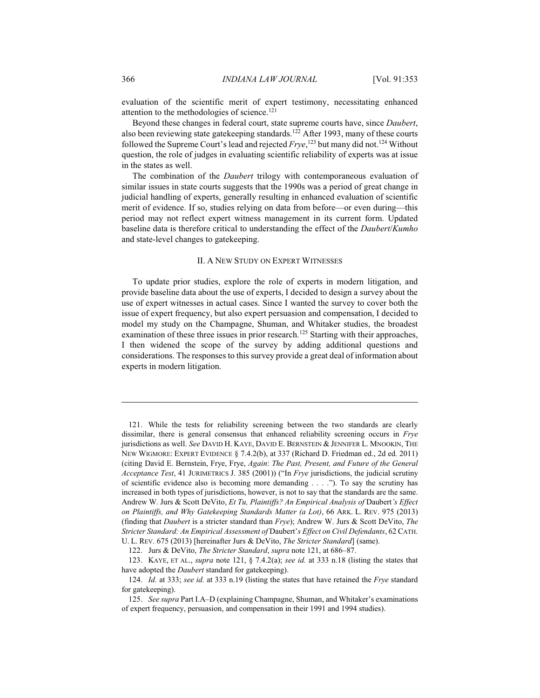evaluation of the scientific merit of expert testimony, necessitating enhanced attention to the methodologies of science.<sup>121</sup>

Beyond these changes in federal court, state supreme courts have, since *Daubert*, also been reviewing state gatekeeping standards.<sup>122</sup> After 1993, many of these courts followed the Supreme Court's lead and rejected Frye,<sup>123</sup> but many did not.<sup>124</sup> Without question, the role of judges in evaluating scientific reliability of experts was at issue in the states as well.

The combination of the *Daubert* trilogy with contemporaneous evaluation of similar issues in state courts suggests that the 1990s was a period of great change in judicial handling of experts, generally resulting in enhanced evaluation of scientific merit of evidence. If so, studies relying on data from before—or even during—this period may not reflect expert witness management in its current form. Updated baseline data is therefore critical to understanding the effect of the *Daubert/Kumho* and state-level changes to gatekeeping.

#### **II. A NEW STUDY ON EXPERT WITNESSES**

To update prior studies, explore the role of experts in modern litigation, and provide baseline data about the use of experts, I decided to design a survey about the use of expert witnesses in actual cases. Since I wanted the survey to cover both the issue of expert frequency, but also expert persuasion and compensation, I decided to model my study on the Champagne, Shuman, and Whitaker studies, the broadest examination of these three issues in prior research.<sup>125</sup> Starting with their approaches, I then widened the scope of the survey by adding additional questions and considerations. The responses to this survey provide a great deal of information about experts in modern litigation.

<sup>121.</sup> While the tests for reliability screening between the two standards are clearly dissimilar, there is general consensus that enhanced reliability screening occurs in Frye jurisdictions as well. See DAVID H. KAYE, DAVID E. BERNSTEIN & JENNIFER L. MNOOKIN, THE NEW WIGMORE: EXPERT EVIDENCE § 7.4.2(b), at 337 (Richard D. Friedman ed., 2d ed. 2011) (citing David E. Bernstein, Frye, Frye, Again: The Past, Present, and Future of the General Acceptance Test, 41 JURIMETRICS J. 385 (2001)) ("In Frye jurisdictions, the judicial scrutiny of scientific evidence also is becoming more demanding  $\dots$ . To say the scrutiny has increased in both types of jurisdictions, however, is not to say that the standards are the same. Andrew W. Jurs & Scott DeVito, Et Tu, Plaintiffs? An Empirical Analysis of Daubert's Effect on Plaintiffs, and Why Gatekeeping Standards Matter (a Lot), 66 ARK, L. REV. 975 (2013) (finding that *Daubert* is a stricter standard than *Frye*); Andrew W. Jurs & Scott DeVito, The Stricter Standard: An Empirical Assessment of Daubert's Effect on Civil Defendants, 62 CATH. U. L. REV. 675 (2013) [hereinafter Jurs & DeVito, *The Stricter Standard*] (same).

<sup>122.</sup> Jurs & DeVito, The Stricter Standard, supra note 121, at 686-87.

<sup>123.</sup> KAYE, ET AL., *supra* note 121, § 7.4.2(a); *see id.* at 333 n.18 (listing the states that have adopted the *Daubert* standard for gatekeeping).

<sup>124.</sup> Id. at 333; see id. at 333 n.19 (listing the states that have retained the Frye standard for gatekeeping).

<sup>125.</sup> See supra Part I.A-D (explaining Champagne, Shuman, and Whitaker's examinations of expert frequency, persuasion, and compensation in their 1991 and 1994 studies).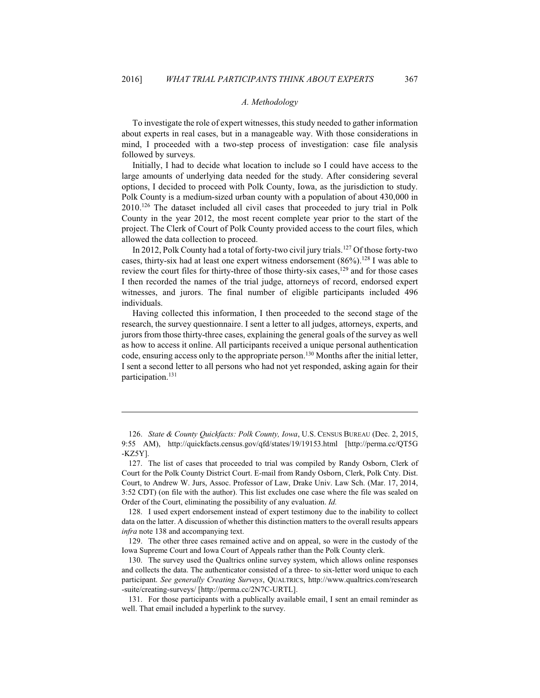#### *A. Methodology*

To investigate the role of expert witnesses, this study needed to gather information about experts in real cases, but in a manageable way. With those considerations in mind, I proceeded with a two-step process of investigation: case file analysis followed by surveys.

Initially, I had to decide what location to include so I could have access to the large amounts of underlying data needed for the study. After considering several options, I decided to proceed with Polk County, Iowa, as the jurisdiction to study. Polk County is a medium-sized urban county with a population of about 430,000 in  $2010$ .<sup>126</sup> The dataset included all civil cases that proceeded to jury trial in Polk County in the year 2012, the most recent complete year prior to the start of the project. The Clerk of Court of Polk County provided access to the court files, which allowed the data collection to proceed.

In 2012, Polk County had a total of forty-two civil jury trials.<sup>127</sup> Of those forty-two cases, thirty-six had at least one expert witness endorsement  $(86\%)$ .<sup>128</sup> I was able to review the court files for thirty-three of those thirty-six cases,<sup>129</sup> and for those cases I then recorded the names of the trial judge, attorneys of record, endorsed expert witnesses, and jurors. The final number of eligible participants included 496 individuals.

Having collected this information, I then proceeded to the second stage of the research, the survey questionnaire. I sent a letter to all judges, attorneys, experts, and jurors from those thirty-three cases, explaining the general goals of the survey as well as how to access it online. All participants received a unique personal authentication code, ensuring access only to the appropriate person.<sup>130</sup> Months after the initial letter, I sent a second letter to all persons who had not yet responded, asking again for their participation.<sup>131</sup>

<u> Andreas Andreas Andreas Andreas Andreas Andreas Andreas Andreas Andreas Andreas Andreas Andreas Andreas Andr</u>

<sup>126.</sup> State & County Quickfacts: Polk County, Iowa, U.S. CENSUS BUREAU (Dec. 2, 2015, 9:55 AM), http://quickfacts.census.gov/qfd/states/19/19153.html [http://perma.cc/QT5G]  $-KZ5Y$ ].

<sup>127.</sup> The list of cases that proceeded to trial was compiled by Randy Osborn, Clerk of Court for the Polk County District Court. E-mail from Randy Osborn, Clerk, Polk Cnty. Dist. Court, to Andrew W. Jurs, Assoc. Professor of Law, Drake Univ. Law Sch. (Mar. 17, 2014, 3:52 CDT) (on file with the author). This list excludes one case where the file was sealed on Order of the Court, eliminating the possibility of any evaluation. *Id.* 

<sup>128.</sup> I used expert endorsement instead of expert testimony due to the inability to collect data on the latter. A discussion of whether this distinction matters to the overall results appears *infra* note 138 and accompanying text.

<sup>129.</sup> The other three cases remained active and on appeal, so were in the custody of the Iowa Supreme Court and Iowa Court of Appeals rather than the Polk County clerk.

<sup>130.</sup> The survey used the Qualtrics online survey system, which allows online responses and collects the data. The authenticator consisted of a three- to six-letter word unique to each participant. See generally Creating Surveys, QUALTRICS, http://www.qualtrics.com/research -suite/creating-surveys/ [http://perma.cc/2N7C-URTL].

<sup>131.</sup> For those participants with a publically available email, I sent an email reminder as well. That email included a hyperlink to the survey.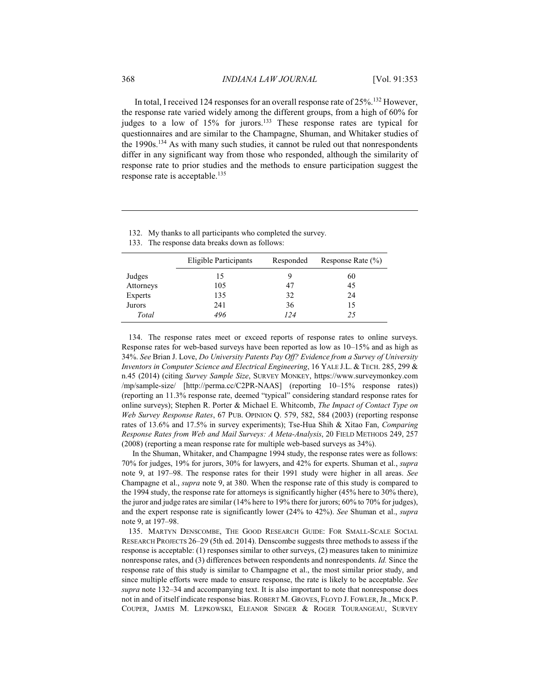In total, I received 124 responses for an overall response rate of 25%.<sup>132</sup> However, the response rate varied widely among the different groups, from a high of 60% for judges to a low of 15% for jurors.<sup>133</sup> These response rates are typical for questionnaires and are similar to the Champagne, Shuman, and Whitaker studies of the 1990s.<sup>134</sup> As with many such studies, it cannot be ruled out that nonrespondents differ in any significant way from those who responded, although the similarity of response rate to prior studies and the methods to ensure participation suggest the response rate is acceptable.<sup>135</sup>

|  |  | 132. My thanks to all participants who completed the survey. |  |
|--|--|--------------------------------------------------------------|--|
|  |  |                                                              |  |

133. The response data breaks down as follows:

|           | Eligible Participants | Responded | Response Rate $(\% )$ |
|-----------|-----------------------|-----------|-----------------------|
| Judges    | 15                    |           | 60                    |
| Attorneys | 105                   | 47        | 45                    |
| Experts   | 135                   | 32        | 24                    |
| Jurors    | 241                   | 36        | 15                    |
| Total     | 496                   | 124       | 25                    |

134. The response rates meet or exceed reports of response rates to online surveys. Response rates for web-based surveys have been reported as low as  $10-15\%$  and as high as 34%. See Brian J. Love, Do University Patents Pay Off? Evidence from a Survey of University Inventors in Computer Science and Electrical Engineering, 16 YALE J.L. & TECH. 285, 299 & n.45 (2014) (citing Survey Sample Size, SURVEY MONKEY, https://www.surveymonkey.com /mp/sample-size/ [http://perma.cc/C2PR-NAAS] (reporting 10–15% response rates)) (reporting an 11.3% response rate, deemed "typical" considering standard response rates for online surveys); Stephen R. Porter & Michael E. Whitcomb, The Impact of Contact Type on Web Survey Response Rates, 67 PUB. OPINION Q. 579, 582, 584 (2003) (reporting response rates of 13.6% and 17.5% in survey experiments); Tse-Hua Shih & Xitao Fan, Comparing Response Rates from Web and Mail Surveys: A Meta-Analysis, 20 FIELD METHODS 249, 257  $(2008)$  (reporting a mean response rate for multiple web-based surveys as  $34\%$ ).

In the Shuman, Whitaker, and Champagne 1994 study, the response rates were as follows: 70% for judges, 19% for jurors, 30% for lawyers, and 42% for experts. Shuman et al., *supra* note 9, at 197–98. The response rates for their 1991 study were higher in all areas. See Champagne et al., *supra* note 9, at 380. When the response rate of this study is compared to the 1994 study, the response rate for attorneys is significantly higher (45% here to 30% there), the juror and judge rates are similar (14% here to 19% there for jurors; 60% to 70% for judges), and the expert response rate is significantly lower (24% to 42%). See Shuman et al., supra note 9, at 197-98.

135. MARTYN DENSCOMBE, THE GOOD RESEARCH GUIDE: FOR SMALL-SCALE SOCIAL RESEARCH PROJECTS 26–29 (5th ed. 2014). Denscombe suggests three methods to assess if the response is acceptable: (1) responses similar to other surveys, (2) measures taken to minimize nonresponse rates, and (3) differences between respondents and nonrespondents. *Id*. Since the response rate of this study is similar to Champagne et al., the most similar prior study, and since multiple efforts were made to ensure response, the rate is likely to be acceptable. See supra note 132–34 and accompanying text. It is also important to note that nonresponse does not in and of itself indicate response bias. ROBERT M. GROVES, FLOYD J. FOWLER, JR., MICK P. COUPER, JAMES M. LEPKOWSKI, ELEANOR SINGER & ROGER TOURANGEAU, SURVEY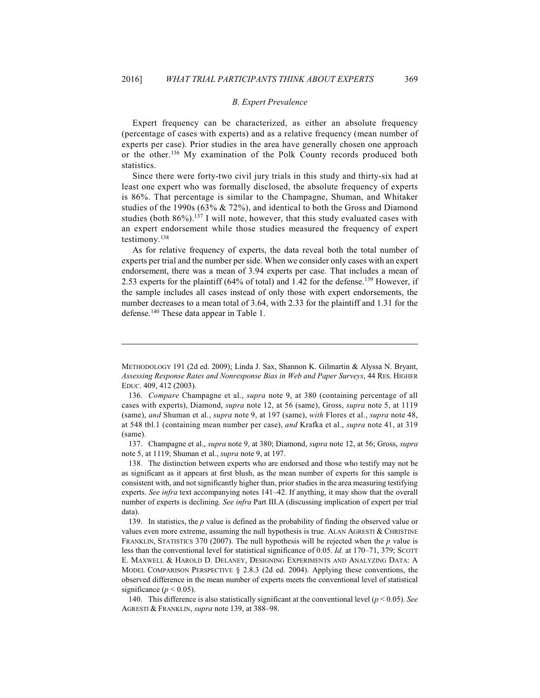#### **B.** Expert Prevalence

Expert frequency can be characterized, as either an absolute frequency (percentage of cases with experts) and as a relative frequency (mean number of experts per case). Prior studies in the area have generally chosen one approach or the other.<sup>136</sup> My examination of the Polk County records produced both statistics.

Since there were forty-two civil jury trials in this study and thirty-six had at least one expert who was formally disclosed, the absolute frequency of experts is 86%. That percentage is similar to the Champagne, Shuman, and Whitaker studies of the 1990s (63% & 72%), and identical to both the Gross and Diamond studies (both 86%).<sup>137</sup> I will note, however, that this study evaluated cases with an expert endorsement while those studies measured the frequency of expert testimony.<sup>138</sup>

As for relative frequency of experts, the data reveal both the total number of experts per trial and the number per side. When we consider only cases with an expert endorsement, there was a mean of 3.94 experts per case. That includes a mean of 2.53 experts for the plaintiff (64% of total) and 1.42 for the defense.<sup>139</sup> However, if the sample includes all cases instead of only those with expert endorsements, the number decreases to a mean total of 3.64, with 2.33 for the plaintiff and 1.31 for the defense.<sup>140</sup> These data appear in Table 1.

137. Champagne et al., *supra* note 9, at 380; Diamond, *supra* note 12, at 56; Gross, *supra* note 5, at 1119; Shuman et al., *supra* note 9, at 197.

138. The distinction between experts who are endorsed and those who testify may not be as significant as it appears at first blush, as the mean number of experts for this sample is consistent with, and not significantly higher than, prior studies in the area measuring testifying experts. See infra text accompanying notes 141-42. If anything, it may show that the overall number of experts is declining. See infra Part III.A (discussing implication of expert per trial data)

METHODOLOGY 191 (2d ed. 2009); Linda J. Sax, Shannon K. Gilmartin & Alyssa N. Bryant, Assessing Response Rates and Nonresponse Bias in Web and Paper Surveys, 44 RES. HIGHER EDUC. 409, 412 (2003).

<sup>136.</sup> Compare Champagne et al., *supra* note 9, at 380 (containing percentage of all cases with experts), Diamond, *supra* note 12, at 56 (same), Gross, *supra* note 5, at 1119 (same), and Shuman et al., supra note 9, at 197 (same), with Flores et al., supra note 48, at 548 tbl.1 (containing mean number per case), and Krafka et al., *supra* note 41, at 319 (same).

<sup>139.</sup> In statistics, the  $p$  value is defined as the probability of finding the observed value or values even more extreme, assuming the null hypothesis is true. ALAN AGRESTI & CHRISTINE FRANKLIN, STATISTICS 370 (2007). The null hypothesis will be rejected when the  $p$  value is less than the conventional level for statistical significance of 0.05. Id. at 170–71, 379; SCOTT E. MAXWELL & HAROLD D. DELANEY, DESIGNING EXPERIMENTS AND ANALYZING DATA: A MODEL COMPARISON PERSPECTIVE  $\S$  2.8.3 (2d ed. 2004). Applying these conventions, the observed difference in the mean number of experts meets the conventional level of statistical significance ( $p < 0.05$ ).

<sup>140.</sup> This difference is also statistically significant at the conventional level ( $p < 0.05$ ). See AGRESTI & FRANKLIN, *supra* note 139, at 388-98.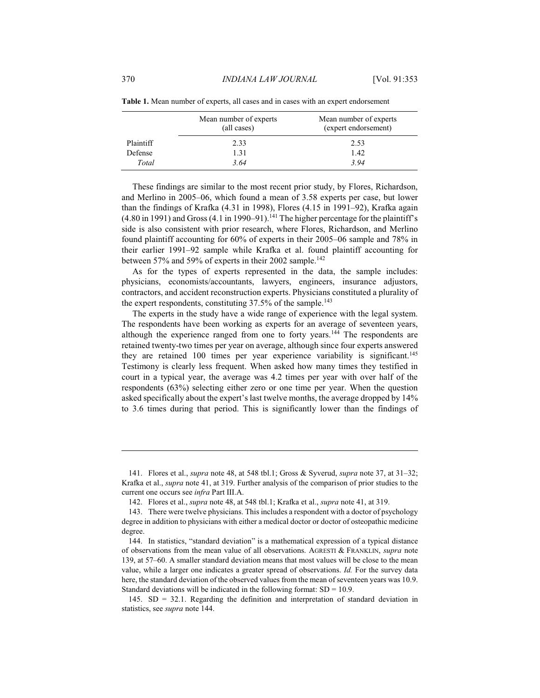|                  | Mean number of experts<br>(all cases) | Mean number of experts<br>(expert endorsement) |
|------------------|---------------------------------------|------------------------------------------------|
| <b>Plaintiff</b> | 2.33                                  | 2.53                                           |
| Defense          | 1.31                                  | 1.42                                           |
| Total            | 3.64                                  | 3.94                                           |

Table 1. Mean number of experts, all cases and in cases with an expert endorsement

These findings are similar to the most recent prior study, by Flores, Richardson, and Merlino in 2005–06, which found a mean of 3.58 experts per case, but lower than the findings of Krafka (4.31 in 1998), Flores (4.15 in 1991-92), Krafka again (4.80 in 1991) and Gross (4.1 in 1990–91).<sup>141</sup> The higher percentage for the plaintiff's side is also consistent with prior research, where Flores, Richardson, and Merlino found plaintiff accounting for 60% of experts in their 2005–06 sample and 78% in their earlier 1991–92 sample while Krafka et al. found plaintiff accounting for between 57% and 59% of experts in their 2002 sample.<sup>142</sup>

As for the types of experts represented in the data, the sample includes: physicians, economists/accountants, lawyers, engineers, insurance adjustors, contractors, and accident reconstruction experts. Physicians constituted a plurality of the expert respondents, constituting 37.5% of the sample.<sup>143</sup>

The experts in the study have a wide range of experience with the legal system. The respondents have been working as experts for an average of seventeen years, although the experience ranged from one to forty years.<sup>144</sup> The respondents are retained twenty-two times per year on average, although since four experts answered they are retained 100 times per year experience variability is significant.<sup>145</sup> Testimony is clearly less frequent. When asked how many times they testified in court in a typical year, the average was 4.2 times per year with over half of the respondents (63%) selecting either zero or one time per year. When the question asked specifically about the expert's last twelve months, the average dropped by 14% to 3.6 times during that period. This is significantly lower than the findings of

<sup>141.</sup> Flores et al., *supra* note 48, at 548 tbl.1; Gross & Syverud, *supra* note 37, at 31–32; Krafka et al., *supra* note 41, at 319. Further analysis of the comparison of prior studies to the current one occurs see infra Part III.A.

<sup>142.</sup> Flores et al., *supra* note 48, at 548 tbl.1; Krafka et al., *supra* note 41, at 319.

<sup>143.</sup> There were twelve physicians. This includes a respondent with a doctor of psychology degree in addition to physicians with either a medical doctor or doctor of osteopathic medicine degree.

<sup>144.</sup> In statistics, "standard deviation" is a mathematical expression of a typical distance of observations from the mean value of all observations. AGRESTI & FRANKLIN, supra note 139, at 57–60. A smaller standard deviation means that most values will be close to the mean value, while a larger one indicates a greater spread of observations. *Id.* For the survey data here, the standard deviation of the observed values from the mean of seventeen years was 10.9. Standard deviations will be indicated in the following format:  $SD = 10.9$ .

<sup>145.</sup>  $SD = 32.1$ . Regarding the definition and interpretation of standard deviation in statistics, see supra note 144.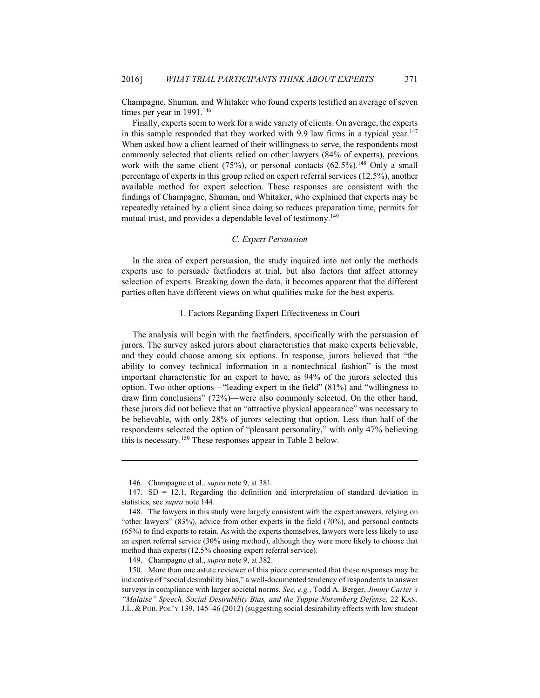Champagne, Shuman, and Whitaker who found experts testified an average of seven times per year in 1991.<sup>146</sup>

371

Finally, experts seem to work for a wide variety of clients. On average, the experts in this sample responded that they worked with 9.9 law firms in a typical year.<sup>147</sup> When asked how a client learned of their willingness to serve, the respondents most commonly selected that clients relied on other lawyers (84% of experts), previous work with the same client  $(75%)$ , or personal contacts  $(62.5%)$ .<sup>148</sup> Only a small percentage of experts in this group relied on expert referral services (12.5%), another available method for expert selection. These responses are consistent with the findings of Champagne, Shuman, and Whitaker, who explained that experts may be repeatedly retained by a client since doing so reduces preparation time, permits for mutual trust, and provides a dependable level of testimony.<sup>149</sup>

#### C. Expert Persuasion

In the area of expert persuasion, the study inquired into not only the methods experts use to persuade factfinders at trial, but also factors that affect attorney selection of experts. Breaking down the data, it becomes apparent that the different parties often have different views on what qualities make for the best experts.

#### 1. Factors Regarding Expert Effectiveness in Court

The analysis will begin with the factfinders, specifically with the persuasion of jurors. The survey asked jurors about characteristics that make experts believable, and they could choose among six options. In response, jurors believed that "the ability to convey technical information in a nontechnical fashion" is the most important characteristic for an expert to have, as 94% of the jurors selected this option. Two other options—"leading expert in the field" (81%) and "willingness to draw firm conclusions"  $(72%)$ —were also commonly selected. On the other hand, these jurors did not believe that an "attractive physical appearance" was necessary to be believable, with only 28% of jurors selecting that option. Less than half of the respondents selected the option of "pleasant personality," with only 47% believing this is necessary.<sup>150</sup> These responses appear in Table 2 below.

<sup>146.</sup> Champagne et al., *supra* note 9, at 381.

<sup>147.</sup>  $SD = 12.1$ . Regarding the definition and interpretation of standard deviation in statistics, see *supra* note 144.

<sup>148.</sup> The lawyers in this study were largely consistent with the expert answers, relying on "other lawyers"  $(83\%)$ , advice from other experts in the field  $(70\%)$ , and personal contacts  $(65%)$  to find experts to retain. As with the experts themselves, lawyers were less likely to use an expert referral service (30% using method), although they were more likely to choose that method than experts (12.5% choosing expert referral service).

<sup>149.</sup> Champagne et al., *supra* note 9, at 382.

<sup>150.</sup> More than one astute reviewer of this piece commented that these responses may be indicative of "social desirability bias," a well-documented tendency of respondents to answer surveys in compliance with larger societal norms. See, e.g., Todd A. Berger, Jimmy Carter's "Malaise" Speech, Social Desirability Bias, and the Yuppie Nuremberg Defense, 22 KAN. J.L. & PUB. POL'Y 139, 145-46 (2012) (suggesting social desirability effects with law student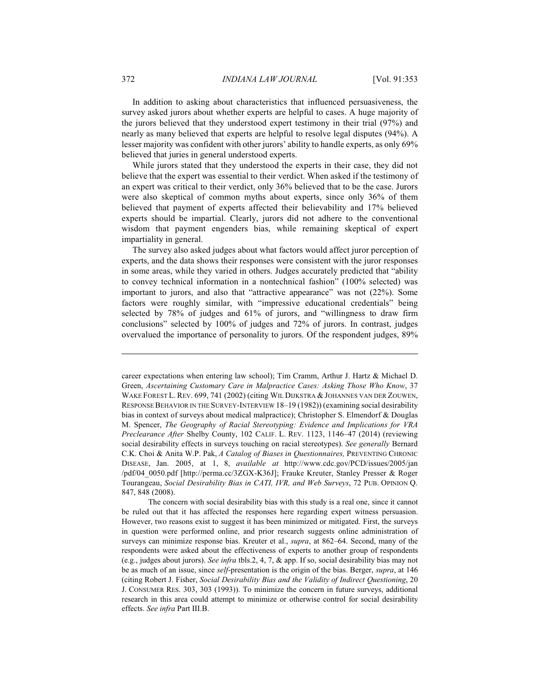In addition to asking about characteristics that influenced persuasiveness, the survey asked jurors about whether experts are helpful to cases. A huge majority of the jurors believed that they understood expert testimony in their trial (97%) and nearly as many believed that experts are helpful to resolve legal disputes (94%). A lesser majority was confident with other jurors' ability to handle experts, as only 69% believed that juries in general understood experts.

While jurors stated that they understood the experts in their case, they did not believe that the expert was essential to their verdict. When asked if the testimony of an expert was critical to their verdict, only 36% believed that to be the case. Jurors were also skeptical of common myths about experts, since only 36% of them believed that payment of experts affected their believability and 17% believed experts should be impartial. Clearly, jurors did not adhere to the conventional wisdom that payment engenders bias, while remaining skeptical of expert impartiality in general.

The survey also asked judges about what factors would affect juror perception of experts, and the data shows their responses were consistent with the juror responses in some areas, while they varied in others. Judges accurately predicted that "ability to convey technical information in a nontechnical fashion" (100% selected) was important to jurors, and also that "attractive appearance" was not (22%). Some factors were roughly similar, with "impressive educational credentials" being selected by 78% of judges and 61% of jurors, and "willingness to draw firm conclusions" selected by 100% of judges and 72% of jurors. In contrast, judges overvalued the importance of personality to jurors. Of the respondent judges, 89%

career expectations when entering law school); Tim Cramm, Arthur J. Hartz & Michael D. Green, Ascertaining Customary Care in Malpractice Cases: Asking Those Who Know, 37 WAKE FOREST L. REV. 699, 741 (2002) (citing WIL DIJKSTRA & JOHANNES VAN DER ZOUWEN, RESPONSE BEHAVIOR IN THE SURVEY-INTERVIEW 18-19 (1982)) (examining social desirability bias in context of surveys about medical malpractice); Christopher S. Elmendorf & Douglas M. Spencer, The Geography of Racial Stereotyping: Evidence and Implications for VRA Preclearance After Shelby County, 102 CALIF. L. REV. 1123, 1146–47 (2014) (reviewing social desirability effects in surveys touching on racial stereotypes). See generally Bernard C.K. Choi & Anita W.P. Pak, A Catalog of Biases in Ouestionnaires, PREVENTING CHRONIC DISEASE, Jan. 2005, at 1, 8, available at http://www.cdc.gov/PCD/issues/2005/jan /pdf/04 0050.pdf [http://perma.cc/3ZGX-K36J]; Frauke Kreuter, Stanley Presser & Roger Tourangeau, Social Desirability Bias in CATI, IVR, and Web Surveys, 72 PUB. OPINION Q. 847, 848 (2008).

The concern with social desirability bias with this study is a real one, since it cannot be ruled out that it has affected the responses here regarding expert witness persuasion. However, two reasons exist to suggest it has been minimized or mitigated. First, the surveys in question were performed online, and prior research suggests online administration of surveys can minimize response bias. Kreuter et al., *supra*, at 862–64. Second, many of the respondents were asked about the effectiveness of experts to another group of respondents (e.g., judges about jurors). See infra tbls.2, 4, 7, & app. If so, social desirability bias may not be as much of an issue, since *self*-presentation is the origin of the bias. Berger, *supra*, at 146 (citing Robert J. Fisher, Social Desirability Bias and the Validity of Indirect Questioning, 20 J. CONSUMER RES. 303, 303 (1993)). To minimize the concern in future surveys, additional research in this area could attempt to minimize or otherwise control for social desirability effects. See infra Part III.B.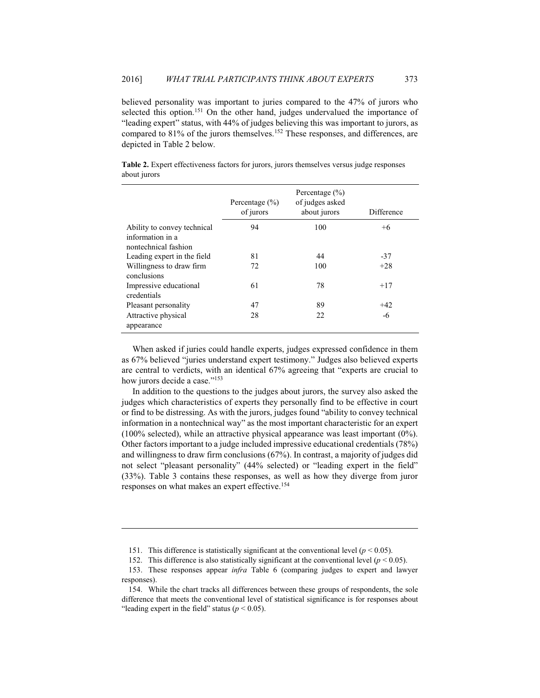believed personality was important to juries compared to the 47% of jurors who selected this option.<sup>151</sup> On the other hand, judges undervalued the importance of "leading expert" status, with 44% of judges believing this was important to jurors, as compared to 81% of the jurors themselves.<sup>152</sup> These responses, and differences, are depicted in Table 2 below.

373

|                                                                         | Percentage $(\% )$<br>of jurors | Percentage $(\% )$<br>of judges asked<br>about jurors | Difference |
|-------------------------------------------------------------------------|---------------------------------|-------------------------------------------------------|------------|
| Ability to convey technical<br>information in a<br>nontechnical fashion | 94                              | 100                                                   | $+6$       |
| Leading expert in the field                                             | 81                              | 44                                                    | $-37$      |
| Willingness to draw firm<br>conclusions                                 | 72                              | 100                                                   | $+28$      |
| Impressive educational<br>credentials                                   | 61                              | 78                                                    | $+17$      |
| Pleasant personality                                                    | 47                              | 89                                                    | $+42$      |
| Attractive physical<br>appearance                                       | 28                              | 22                                                    | -6         |

Table 2. Expert effectiveness factors for jurors, jurors themselves versus judge responses about jurors

When asked if juries could handle experts, judges expressed confidence in them as 67% believed "juries understand expert testimony." Judges also believed experts are central to verdicts, with an identical 67% agreeing that "experts are crucial to how jurors decide a case."153

In addition to the questions to the judges about jurors, the survey also asked the judges which characteristics of experts they personally find to be effective in court or find to be distressing. As with the jurors, judges found "ability to convey technical information in a nontechnical way" as the most important characteristic for an expert  $(100\% \text{ selected})$ , while an attractive physical appearance was least important  $(0\%)$ . Other factors important to a judge included impressive educational credentials (78%) and willingness to draw firm conclusions  $(67%)$ . In contrast, a majority of judges did not select "pleasant personality" (44% selected) or "leading expert in the field"  $(33\%)$ . Table 3 contains these responses, as well as how they diverge from juror responses on what makes an expert effective.<sup>154</sup>

<sup>151.</sup> This difference is statistically significant at the conventional level ( $p < 0.05$ ).

<sup>152.</sup> This difference is also statistically significant at the conventional level ( $p < 0.05$ ).

<sup>153.</sup> These responses appear *infra* Table 6 (comparing judges to expert and lawyer responses).

<sup>154.</sup> While the chart tracks all differences between these groups of respondents, the sole difference that meets the conventional level of statistical significance is for responses about "leading expert in the field" status ( $p < 0.05$ ).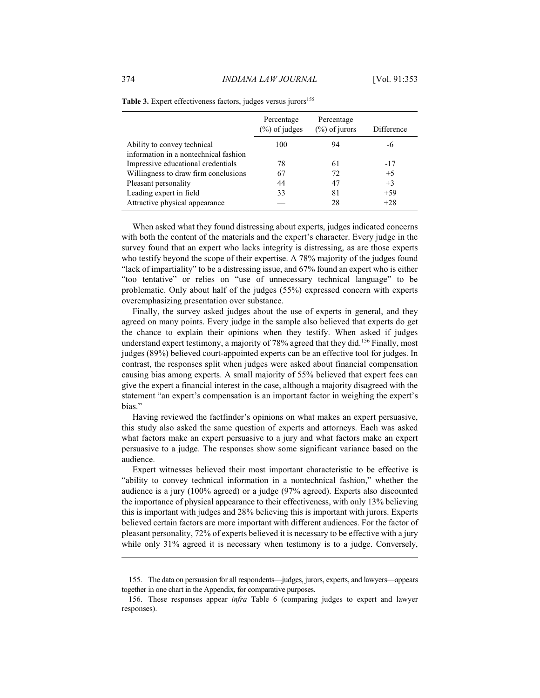|                                       | Percentage<br>$(\%)$ of judges | Percentage<br>$(\%)$ of jurors | Difference |
|---------------------------------------|--------------------------------|--------------------------------|------------|
| Ability to convey technical           | 100                            | 94                             | -6         |
| information in a nontechnical fashion |                                |                                |            |
| Impressive educational credentials    | 78                             | 61                             | $-17$      |
| Willingness to draw firm conclusions  | 67                             | 72                             | $+5$       |
| Pleasant personality                  | 44                             | 47                             | $+3$       |
| Leading expert in field               | 33                             | 81                             | $+59$      |
| Attractive physical appearance        |                                | 28                             | $+28$      |

|  | Table 3. Expert effectiveness factors, judges versus jurors <sup>155</sup> |  |  |
|--|----------------------------------------------------------------------------|--|--|
|  |                                                                            |  |  |

When asked what they found distressing about experts, judges indicated concerns with both the content of the materials and the expert's character. Every judge in the survey found that an expert who lacks integrity is distressing, as are those experts who testify beyond the scope of their expertise. A 78% majority of the judges found "lack of impartiality" to be a distressing issue, and 67% found an expert who is either "too tentative" or relies on "use of unnecessary technical language" to be problematic. Only about half of the judges (55%) expressed concern with experts overemphasizing presentation over substance.

Finally, the survey asked judges about the use of experts in general, and they agreed on many points. Every judge in the sample also believed that experts do get the chance to explain their opinions when they testify. When asked if judges understand expert testimony, a majority of 78% agreed that they did.<sup>156</sup> Finally, most judges (89%) believed court-appointed experts can be an effective tool for judges. In contrast, the responses split when judges were asked about financial compensation causing bias among experts. A small majority of 55% believed that expert fees can give the expert a financial interest in the case, although a majority disagreed with the statement "an expert's compensation is an important factor in weighing the expert's bias."

Having reviewed the factfinder's opinions on what makes an expert persuasive, this study also asked the same question of experts and attorneys. Each was asked what factors make an expert persuasive to a jury and what factors make an expert persuasive to a judge. The responses show some significant variance based on the audience.

Expert witnesses believed their most important characteristic to be effective is "ability to convey technical information in a nontechnical fashion," whether the audience is a jury (100% agreed) or a judge (97% agreed). Experts also discounted the importance of physical appearance to their effectiveness, with only 13% believing this is important with judges and 28% believing this is important with jurors. Experts believed certain factors are more important with different audiences. For the factor of pleasant personality, 72% of experts believed it is necessary to be effective with a jury while only 31% agreed it is necessary when testimony is to a judge. Conversely,

<sup>155.</sup> The data on persuasion for all respondents—judges, jurors, experts, and lawyers—appears together in one chart in the Appendix, for comparative purposes.

<sup>156.</sup> These responses appear *infra* Table 6 (comparing judges to expert and lawyer responses).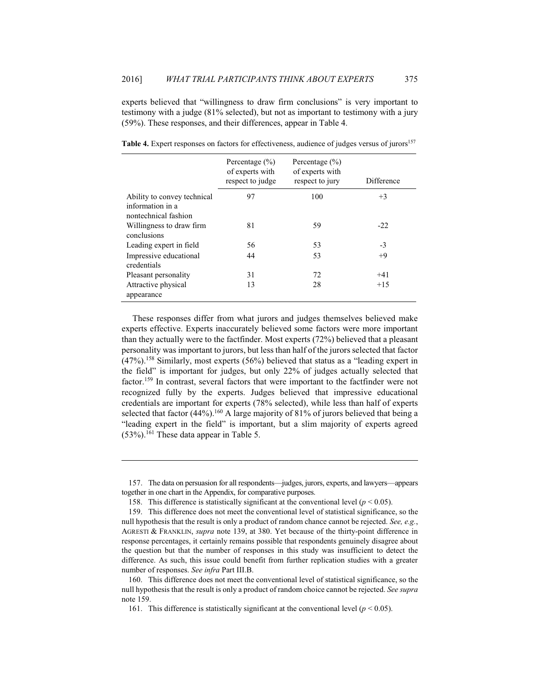experts believed that "willingness to draw firm conclusions" is very important to testimony with a judge (81% selected), but not as important to testimony with a jury (59%). These responses, and their differences, appear in Table 4.

|                                                                         | Percentage $(\% )$<br>of experts with<br>respect to judge | Percentage $(\% )$<br>of experts with<br>respect to jury | Difference |
|-------------------------------------------------------------------------|-----------------------------------------------------------|----------------------------------------------------------|------------|
| Ability to convey technical<br>information in a<br>nontechnical fashion | 97                                                        | 100                                                      | $+3$       |
| Willingness to draw firm<br>conclusions                                 | 81                                                        | 59                                                       | $-22$      |
| Leading expert in field                                                 | 56                                                        | 53                                                       | $-3$       |
| Impressive educational<br>credentials                                   | 44                                                        | 53                                                       | $+9$       |
| Pleasant personality                                                    | 31                                                        | 72                                                       | $+41$      |
| Attractive physical<br>appearance                                       | 13                                                        | 28                                                       | $+15$      |

Table 4. Expert responses on factors for effectiveness, audience of judges versus of jurors<sup>157</sup>

These responses differ from what jurors and judges themselves believed make experts effective. Experts inaccurately believed some factors were more important than they actually were to the factfinder. Most experts (72%) believed that a pleasant personality was important to jurors, but less than half of the jurors selected that factor  $(47\%)$ .<sup>158</sup> Similarly, most experts (56%) believed that status as a "leading expert in the field" is important for judges, but only 22% of judges actually selected that factor.<sup>159</sup> In contrast, several factors that were important to the factfinder were not recognized fully by the experts. Judges believed that impressive educational credentials are important for experts (78% selected), while less than half of experts selected that factor  $(44\%)$ .<sup>160</sup> A large majority of 81% of jurors believed that being a "leading expert in the field" is important, but a slim majority of experts agreed  $(53\%)$ .<sup>161</sup> These data appear in Table 5.

<sup>157.</sup> The data on persuasion for all respondents—judges, jurors, experts, and lawyers—appears together in one chart in the Appendix, for comparative purposes.

<sup>158.</sup> This difference is statistically significant at the conventional level ( $p < 0.05$ ).

<sup>159.</sup> This difference does not meet the conventional level of statistical significance, so the null hypothesis that the result is only a product of random chance cannot be rejected. See, e.g., AGRESTI & FRANKLIN, *supra* note 139, at 380. Yet because of the thirty-point difference in response percentages, it certainly remains possible that respondents genuinely disagree about the question but that the number of responses in this study was insufficient to detect the difference. As such, this issue could benefit from further replication studies with a greater number of responses. See infra Part III.B.

<sup>160.</sup> This difference does not meet the conventional level of statistical significance, so the null hypothesis that the result is only a product of random choice cannot be rejected. See supra note 159.

<sup>161.</sup> This difference is statistically significant at the conventional level ( $p < 0.05$ ).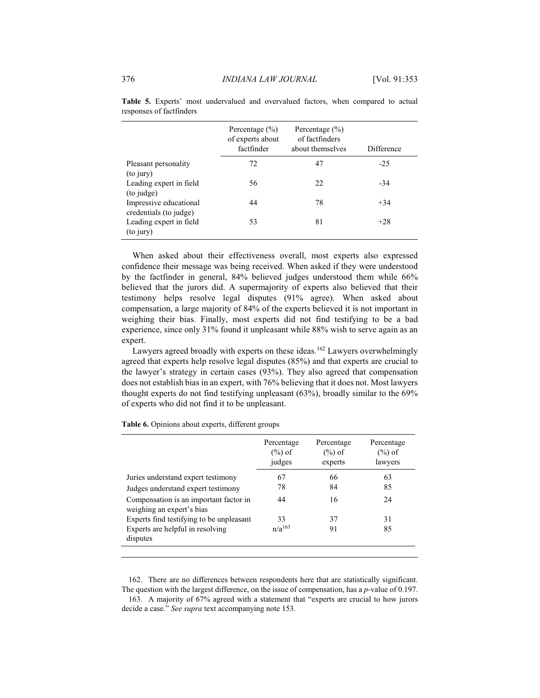|                                                  | Percentage $(\% )$<br>of experts about<br>factfinder | Percentage $(\% )$<br>of factfinders<br>about themselves | Difference |
|--------------------------------------------------|------------------------------------------------------|----------------------------------------------------------|------------|
| Pleasant personality<br>(to jury)                | 72                                                   | 47                                                       | $-25$      |
| Leading expert in field<br>(to judge)            | 56                                                   | 22                                                       | $-34$      |
| Impressive educational<br>credentials (to judge) | 44                                                   | 78                                                       | $+34$      |
| Leading expert in field<br>(to jury)             | 53                                                   | 81                                                       | $+28$      |

Table 5. Experts' most undervalued and overvalued factors, when compared to actual responses of factfinders

When asked about their effectiveness overall, most experts also expressed confidence their message was being received. When asked if they were understood by the factfinder in general, 84% believed judges understood them while 66% believed that the jurors did. A supermajority of experts also believed that their testimony helps resolve legal disputes (91% agree). When asked about compensation, a large majority of 84% of the experts believed it is not important in weighing their bias. Finally, most experts did not find testifying to be a bad experience, since only 31% found it unpleasant while 88% wish to serve again as an expert.

Lawyers agreed broadly with experts on these ideas.<sup>162</sup> Lawyers overwhelmingly agreed that experts help resolve legal disputes (85%) and that experts are crucial to the lawyer's strategy in certain cases (93%). They also agreed that compensation does not establish bias in an expert, with 76% believing that it does not. Most lawyers thought experts do not find testifying unpleasant (63%), broadly similar to the 69% of experts who did not find it to be unpleasant.

|                                                                     | Percentage<br>$(\%)$ of<br>judges | Percentage<br>$(\%)$ of<br>experts | Percentage<br>$(\%)$ of<br>lawyers |
|---------------------------------------------------------------------|-----------------------------------|------------------------------------|------------------------------------|
| Juries understand expert testimony                                  | 67                                | 66                                 | 63                                 |
| Judges understand expert testimony                                  | 78                                | 84                                 | 85                                 |
| Compensation is an important factor in<br>weighing an expert's bias | 44                                | 16                                 | 24                                 |
| Experts find testifying to be unpleasant                            | 33                                | 37                                 | 31                                 |
| Experts are helpful in resolving<br>disputes                        | $n/a^{163}$                       | 91                                 | 85                                 |

Table 6. Opinions about experts, different groups

162. There are no differences between respondents here that are statistically significant. The question with the largest difference, on the issue of compensation, has a  $p$ -value of 0.197.

163. A majority of 67% agreed with a statement that "experts are crucial to how jurors decide a case." See supra text accompanying note 153.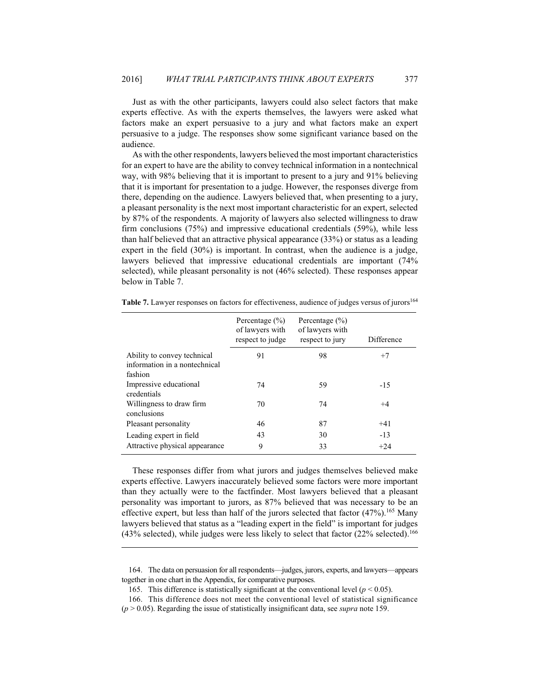Just as with the other participants, lawyers could also select factors that make experts effective. As with the experts themselves, the lawyers were asked what factors make an expert persuasive to a jury and what factors make an expert persuasive to a judge. The responses show some significant variance based on the audience.

377

As with the other respondents, lawyers believed the most important characteristics for an expert to have are the ability to convey technical information in a nontechnical way, with 98% believing that it is important to present to a jury and 91% believing that it is important for presentation to a judge. However, the responses diverge from there, depending on the audience. Lawyers believed that, when presenting to a jury, a pleasant personality is the next most important characteristic for an expert, selected by 87% of the respondents. A majority of lawyers also selected willingness to draw firm conclusions  $(75%)$  and impressive educational credentials  $(59%)$ , while less than half believed that an attractive physical appearance  $(33%)$  or status as a leading expert in the field  $(30\%)$  is important. In contrast, when the audience is a judge, lawyers believed that impressive educational credentials are important (74% selected), while pleasant personality is not (46% selected). These responses appear below in Table 7.

|                                                                         | Percentage $(\% )$<br>of lawyers with<br>respect to judge | Percentage $(\% )$<br>of lawyers with<br>respect to jury | Difference |
|-------------------------------------------------------------------------|-----------------------------------------------------------|----------------------------------------------------------|------------|
| Ability to convey technical<br>information in a nontechnical<br>fashion | 91                                                        | 98                                                       | $+7$       |
| Impressive educational<br>credentials                                   | 74                                                        | 59                                                       | $-15$      |
| Willingness to draw firm<br>conclusions                                 | 70                                                        | 74                                                       | $+4$       |
| Pleasant personality                                                    | 46                                                        | 87                                                       | $+41$      |
| Leading expert in field                                                 | 43                                                        | 30                                                       | $-13$      |
| Attractive physical appearance                                          | 9                                                         | 33                                                       | $+24$      |

**Table 7.** Lawyer responses on factors for effectiveness, audience of judges versus of jurors<sup>164</sup>

These responses differ from what jurors and judges themselves believed make experts effective. Lawyers inaccurately believed some factors were more important than they actually were to the factfinder. Most lawyers believed that a pleasant personality was important to jurors, as 87% believed that was necessary to be an effective expert, but less than half of the jurors selected that factor  $(47%)$ .<sup>165</sup> Many lawyers believed that status as a "leading expert in the field" is important for judges  $(43\%$  selected), while judges were less likely to select that factor  $(22\%$  selected).<sup>166</sup>

<sup>164.</sup> The data on persuasion for all respondents—judges, jurors, experts, and lawyers—appears together in one chart in the Appendix, for comparative purposes.

<sup>165.</sup> This difference is statistically significant at the conventional level ( $p < 0.05$ ).

<sup>166.</sup> This difference does not meet the conventional level of statistical significance

 $(p > 0.05)$ . Regarding the issue of statistically insignificant data, see *supra* note 159.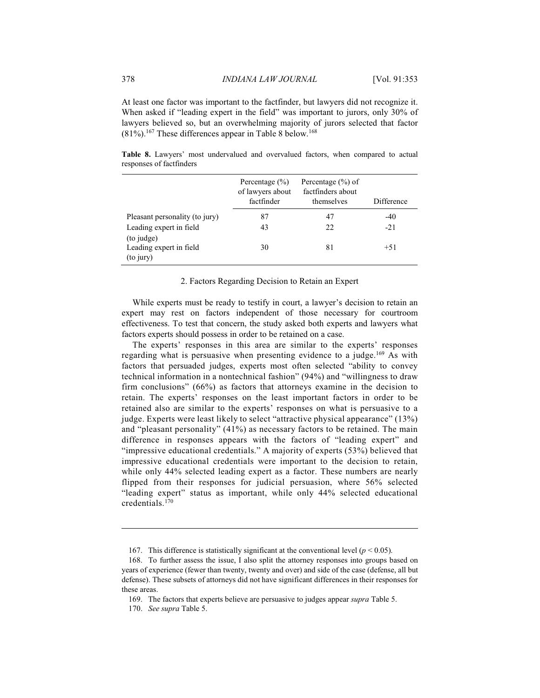At least one factor was important to the factfinder, but lawyers did not recognize it. When asked if "leading expert in the field" was important to jurors, only 30% of lawyers believed so, but an overwhelming majority of jurors selected that factor  $(81\%)$ <sup>167</sup>. These differences appear in Table 8 below.<sup>168</sup>

Table 8. Lawyers' most undervalued and overvalued factors, when compared to actual responses of factfinders

|                                | Percentage $(\% )$<br>of lawyers about<br>factfinder | Percentage $(\% )$ of<br>factfinders about<br>themselves | Difference |
|--------------------------------|------------------------------------------------------|----------------------------------------------------------|------------|
| Pleasant personality (to jury) | 87                                                   | 47                                                       | $-40$      |
| Leading expert in field        | 43                                                   | 22                                                       | $-21$      |
| (to judge)                     |                                                      |                                                          |            |
| Leading expert in field        | 30                                                   | 81                                                       | $+51$      |
| (to jury)                      |                                                      |                                                          |            |

#### 2. Factors Regarding Decision to Retain an Expert

While experts must be ready to testify in court, a lawyer's decision to retain an expert may rest on factors independent of those necessary for courtroom effectiveness. To test that concern, the study asked both experts and lawyers what factors experts should possess in order to be retained on a case.

The experts' responses in this area are similar to the experts' responses regarding what is persuasive when presenting evidence to a judge.<sup>169</sup> As with factors that persuaded judges, experts most often selected "ability to convey technical information in a nontechnical fashion" (94%) and "willingness to draw firm conclusions"  $(66\%)$  as factors that attorneys examine in the decision to retain. The experts' responses on the least important factors in order to be retained also are similar to the experts' responses on what is persuasive to a judge. Experts were least likely to select "attractive physical appearance" (13%) and "pleasant personality" (41%) as necessary factors to be retained. The main difference in responses appears with the factors of "leading expert" and "impressive educational credentials." A majority of experts (53%) believed that impressive educational credentials were important to the decision to retain, while only 44% selected leading expert as a factor. These numbers are nearly flipped from their responses for judicial persuasion, where 56% selected "leading expert" status as important, while only 44% selected educational credentials. $170$ 

<sup>167.</sup> This difference is statistically significant at the conventional level ( $p < 0.05$ ).

<sup>168.</sup> To further assess the issue, I also split the attorney responses into groups based on years of experience (fewer than twenty, twenty and over) and side of the case (defense, all but defense). These subsets of attorneys did not have significant differences in their responses for these areas.

<sup>169.</sup> The factors that experts believe are persuasive to judges appear *supra* Table 5.

<sup>170.</sup> See supra Table 5.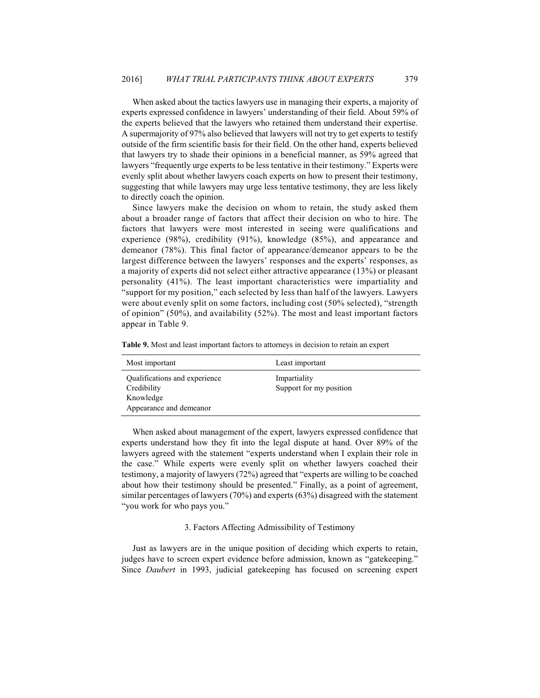379

When asked about the tactics lawyers use in managing their experts, a majority of experts expressed confidence in lawyers' understanding of their field. About 59% of the experts believed that the lawyers who retained them understand their expertise. A supermajority of 97% also believed that lawyers will not try to get experts to testify outside of the firm scientific basis for their field. On the other hand, experts believed that lawyers try to shade their opinions in a beneficial manner, as 59% agreed that lawyers "frequently urge experts to be less tentative in their testimony." Experts were evenly split about whether lawyers coach experts on how to present their testimony, suggesting that while lawyers may urge less tentative testimony, they are less likely to directly coach the opinion.

Since lawyers make the decision on whom to retain, the study asked them about a broader range of factors that affect their decision on who to hire. The factors that lawyers were most interested in seeing were qualifications and experience  $(98\%)$ , credibility  $(91\%)$ , knowledge  $(85\%)$ , and appearance and demeanor (78%). This final factor of appearance/demeanor appears to be the largest difference between the lawyers' responses and the experts' responses, as a majority of experts did not select either attractive appearance (13%) or pleasant personality (41%). The least important characteristics were impartiality and "support for my position," each selected by less than half of the lawyers. Lawyers were about evenly split on some factors, including cost (50% selected), "strength of opinion"  $(50\%)$ , and availability  $(52\%)$ . The most and least important factors appear in Table 9.

| Most important                                                                       | Least important                         |
|--------------------------------------------------------------------------------------|-----------------------------------------|
| Qualifications and experience<br>Credibility<br>Knowledge<br>Appearance and demeanor | Impartiality<br>Support for my position |

Table 9. Most and least important factors to attorneys in decision to retain an expert

When asked about management of the expert, lawyers expressed confidence that experts understand how they fit into the legal dispute at hand. Over 89% of the lawyers agreed with the statement "experts understand when I explain their role in the case." While experts were evenly split on whether lawyers coached their testimony, a majority of lawyers (72%) agreed that "experts are willing to be coached about how their testimony should be presented." Finally, as a point of agreement, similar percentages of lawyers  $(70\%)$  and experts  $(63\%)$  disagreed with the statement "you work for who pays you."

#### 3. Factors Affecting Admissibility of Testimony

Just as lawyers are in the unique position of deciding which experts to retain, judges have to screen expert evidence before admission, known as "gatekeeping." Since *Daubert* in 1993, judicial gatekeeping has focused on screening expert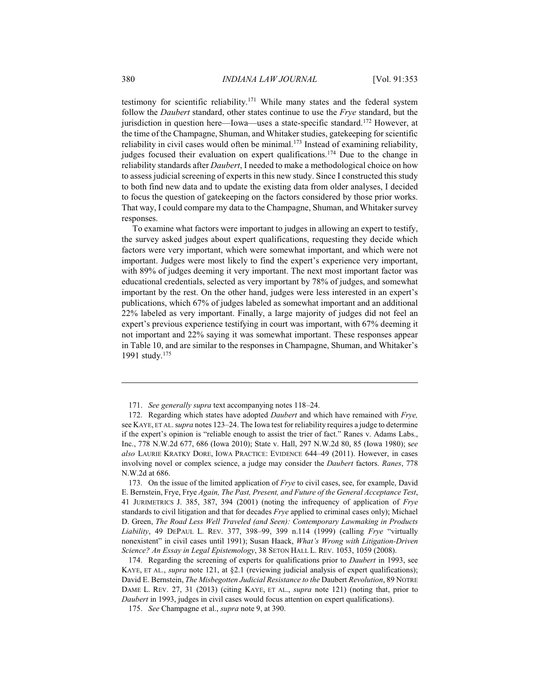testimony for scientific reliability.<sup>171</sup> While many states and the federal system follow the Daubert standard, other states continue to use the Frye standard, but the jurisdiction in question here—Iowa—uses a state-specific standard.<sup>172</sup> However, at the time of the Champagne, Shuman, and Whitaker studies, gatekeeping for scientific reliability in civil cases would often be minimal.<sup>173</sup> Instead of examining reliability, judges focused their evaluation on expert qualifications.<sup>174</sup> Due to the change in reliability standards after *Daubert*, I needed to make a methodological choice on how to assess judicial screening of experts in this new study. Since I constructed this study to both find new data and to update the existing data from older analyses, I decided to focus the question of gatekeeping on the factors considered by those prior works. That way, I could compare my data to the Champagne, Shuman, and Whitaker survey responses.

To examine what factors were important to judges in allowing an expert to testify, the survey asked judges about expert qualifications, requesting they decide which factors were very important, which were somewhat important, and which were not important. Judges were most likely to find the expert's experience very important, with 89% of judges deeming it very important. The next most important factor was educational credentials, selected as very important by 78% of judges, and somewhat important by the rest. On the other hand, judges were less interested in an expert's publications, which 67% of judges labeled as somewhat important and an additional 22% labeled as very important. Finally, a large majority of judges did not feel an expert's previous experience testifying in court was important, with 67% deeming it not important and 22% saying it was somewhat important. These responses appear in Table 10, and are similar to the responses in Champagne, Shuman, and Whitaker's 1991 study.<sup>175</sup>

174. Regarding the screening of experts for qualifications prior to *Daubert* in 1993, see KAYE, ET AL., *supra* note 121, at §2.1 (reviewing judicial analysis of expert qualifications); David E. Bernstein, The Misbegotten Judicial Resistance to the Daubert Revolution, 89 NOTRE DAME L. REV. 27, 31 (2013) (citing KAYE, ET AL., *supra* note 121) (noting that, prior to Daubert in 1993, judges in civil cases would focus attention on expert qualifications).

<sup>171.</sup> See generally supra text accompanying notes 118–24.

<sup>172.</sup> Regarding which states have adopted *Daubert* and which have remained with *Frye*, see KAYE, ET AL. supra notes 123–24. The Iowa test for reliability requires a judge to determine if the expert's opinion is "reliable enough to assist the trier of fact." Ranes v. Adams Labs., Inc., 778 N.W.2d 677, 686 (Iowa 2010); State v. Hall, 297 N.W.2d 80, 85 (Iowa 1980); see also LAURIE KRATKY DORE, IOWA PRACTICE: EVIDENCE 644-49 (2011). However, in cases involving novel or complex science, a judge may consider the *Daubert* factors. Ranes, 778 N.W.2d at 686.

<sup>173.</sup> On the issue of the limited application of *Frye* to civil cases, see, for example, David E. Bernstein, Frye, Frye Again, The Past, Present, and Future of the General Acceptance Test, 41 JURIMETRICS J. 385, 387, 394 (2001) (noting the infrequency of application of Frye standards to civil litigation and that for decades Frye applied to criminal cases only); Michael D. Green, The Road Less Well Traveled (and Seen): Contemporary Lawmaking in Products Liability, 49 DEPAUL L. REV. 377, 398-99, 399 n.114 (1999) (calling Frye "virtually nonexistent" in civil cases until 1991); Susan Haack, What's Wrong with Litigation-Driven Science? An Essay in Legal Epistemology, 38 SETON HALL L. REV. 1053, 1059 (2008).

<sup>175.</sup> See Champagne et al., supra note 9, at 390.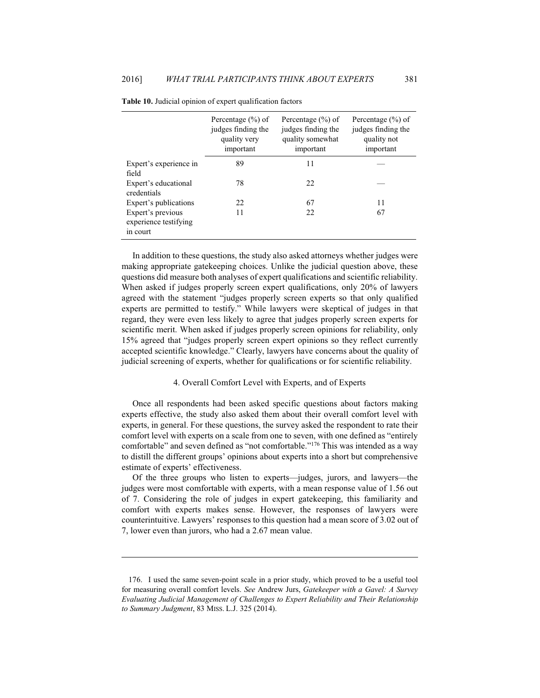|                                                        | Percentage $(\% )$ of<br>judges finding the<br>quality very<br>important |    | Percentage $(\% )$ of<br>judges finding the<br>quality not<br>important |  |
|--------------------------------------------------------|--------------------------------------------------------------------------|----|-------------------------------------------------------------------------|--|
| Expert's experience in<br>field                        | 89                                                                       | 11 |                                                                         |  |
| Expert's educational<br>credentials                    | 78                                                                       | 22 |                                                                         |  |
| Expert's publications                                  | 22                                                                       | 67 | 11                                                                      |  |
| Expert's previous<br>experience testifying<br>in court | 11                                                                       | 22 | 67                                                                      |  |

|  | <b>Table 10.</b> Judicial opinion of expert qualification factors |  |  |
|--|-------------------------------------------------------------------|--|--|

In addition to these questions, the study also asked attorneys whether judges were making appropriate gatekeeping choices. Unlike the judicial question above, these questions did measure both analyses of expert qualifications and scientific reliability. When asked if judges properly screen expert qualifications, only 20% of lawyers agreed with the statement "judges properly screen experts so that only qualified experts are permitted to testify." While lawyers were skeptical of judges in that regard, they were even less likely to agree that judges properly screen experts for scientific merit. When asked if judges properly screen opinions for reliability, only 15% agreed that "judges properly screen expert opinions so they reflect currently accepted scientific knowledge." Clearly, lawyers have concerns about the quality of judicial screening of experts, whether for qualifications or for scientific reliability.

#### 4. Overall Comfort Level with Experts, and of Experts

Once all respondents had been asked specific questions about factors making experts effective, the study also asked them about their overall comfort level with experts, in general. For these questions, the survey asked the respondent to rate their comfort level with experts on a scale from one to seven, with one defined as "entirely comfortable" and seven defined as "not comfortable."<sup>176</sup> This was intended as a way to distill the different groups' opinions about experts into a short but comprehensive estimate of experts' effectiveness.

Of the three groups who listen to experts—judges, jurors, and lawyers—the judges were most comfortable with experts, with a mean response value of 1.56 out of 7. Considering the role of judges in expert gatekeeping, this familiarity and comfort with experts makes sense. However, the responses of lawyers were counterintuitive. Lawyers' responses to this question had a mean score of 3.02 out of 7, lower even than jurors, who had a 2.67 mean value.

<sup>176.</sup> I used the same seven-point scale in a prior study, which proved to be a useful tool for measuring overall comfort levels. See Andrew Jurs, Gatekeeper with a Gavel: A Survey Evaluating Judicial Management of Challenges to Expert Reliability and Their Relationship to Summary Judgment, 83 MISS. L.J. 325 (2014).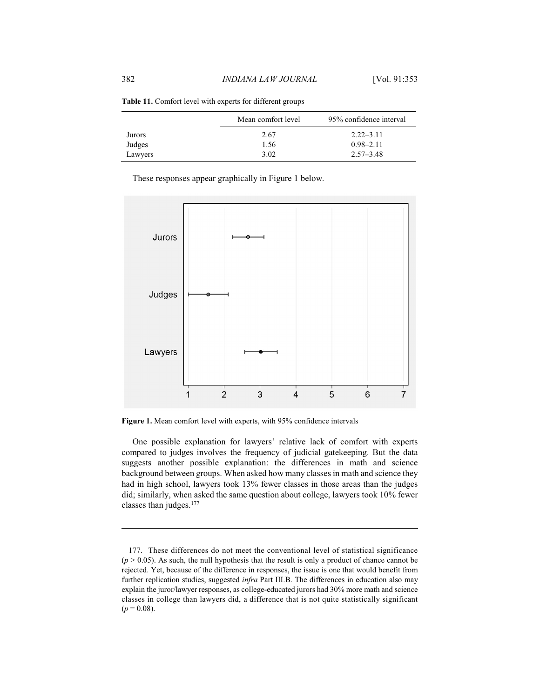|         | Mean comfort level | 95% confidence interval |
|---------|--------------------|-------------------------|
| Jurors  | 2.67               | $2.22 - 3.11$           |
| Judges  | 1.56               | $0.98 - 2.11$           |
| Lawyers | 3.02               | $2.57 - 3.48$           |

Table 11. Comfort level with experts for different groups

These responses appear graphically in Figure 1 below.



Figure 1. Mean comfort level with experts, with 95% confidence intervals

One possible explanation for lawyers' relative lack of comfort with experts compared to judges involves the frequency of judicial gatekeeping. But the data suggests another possible explanation: the differences in math and science background between groups. When asked how many classes in math and science they had in high school, lawyers took 13% fewer classes in those areas than the judges did; similarly, when asked the same question about college, lawyers took 10% fewer classes than judges.<sup>177</sup>

<sup>177.</sup> These differences do not meet the conventional level of statistical significance  $(p > 0.05)$ . As such, the null hypothesis that the result is only a product of chance cannot be rejected. Yet, because of the difference in responses, the issue is one that would benefit from further replication studies, suggested infra Part III.B. The differences in education also may explain the juror/lawyer responses, as college-educated jurors had 30% more math and science classes in college than lawyers did, a difference that is not quite statistically significant  $(p = 0.08)$ .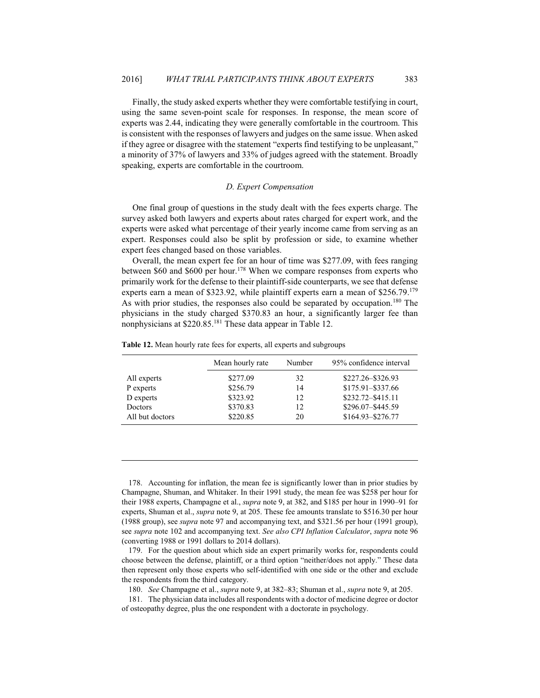Finally, the study asked experts whether they were comfortable testifying in court, using the same seven-point scale for responses. In response, the mean score of experts was 2.44, indicating they were generally comfortable in the courtroom. This is consistent with the responses of lawyers and judges on the same issue. When asked if they agree or disagree with the statement "experts find testifying to be unpleasant," a minority of 37% of lawyers and 33% of judges agreed with the statement. Broadly speaking, experts are comfortable in the courtroom.

383

#### D. Expert Compensation

One final group of questions in the study dealt with the fees experts charge. The survey asked both lawyers and experts about rates charged for expert work, and the experts were asked what percentage of their yearly income came from serving as an expert. Responses could also be split by profession or side, to examine whether expert fees changed based on those variables.

Overall, the mean expert fee for an hour of time was \$277.09, with fees ranging between \$60 and \$600 per hour.<sup>178</sup> When we compare responses from experts who primarily work for the defense to their plaintiff-side counterparts, we see that defense experts earn a mean of \$323.92, while plaintiff experts earn a mean of \$256.79.179 As with prior studies, the responses also could be separated by occupation.<sup>180</sup> The physicians in the study charged \$370.83 an hour, a significantly larger fee than nonphysicians at \$220.85.<sup>181</sup> These data appear in Table 12.

Table 12. Mean hourly rate fees for experts, all experts and subgroups

|                 | Mean hourly rate | Number | 95% confidence interval |
|-----------------|------------------|--------|-------------------------|
| All experts     | \$277.09         | 32     | \$227.26-\$326.93       |
| P experts       | \$256.79         | 14     | \$175.91-\$337.66       |
| D experts       | \$323.92         | 12     | \$232.72-\$415.11       |
| Doctors         | \$370.83         | 12     | \$296.07-\$445.59       |
| All but doctors | \$220.85         | 20     | \$164.93-\$276.77       |

178. Accounting for inflation, the mean fee is significantly lower than in prior studies by Champagne, Shuman, and Whitaker. In their 1991 study, the mean fee was \$258 per hour for their 1988 experts, Champagne et al., *supra* note 9, at 382, and \$185 per hour in 1990–91 for experts, Shuman et al., *supra* note 9, at 205. These fee amounts translate to \$516.30 per hour (1988 group), see *supra* note 97 and accompanying text, and \$321.56 per hour (1991 group), see supra note 102 and accompanying text. See also CPI Inflation Calculator, supra note 96 (converting 1988 or 1991 dollars to 2014 dollars).

179. For the question about which side an expert primarily works for, respondents could choose between the defense, plaintiff, or a third option "neither/does not apply." These data then represent only those experts who self-identified with one side or the other and exclude the respondents from the third category.

180. See Champagne et al., *supra* note 9, at 382–83; Shuman et al., *supra* note 9, at 205.

181. The physician data includes all respondents with a doctor of medicine degree or doctor of osteopathy degree, plus the one respondent with a doctorate in psychology.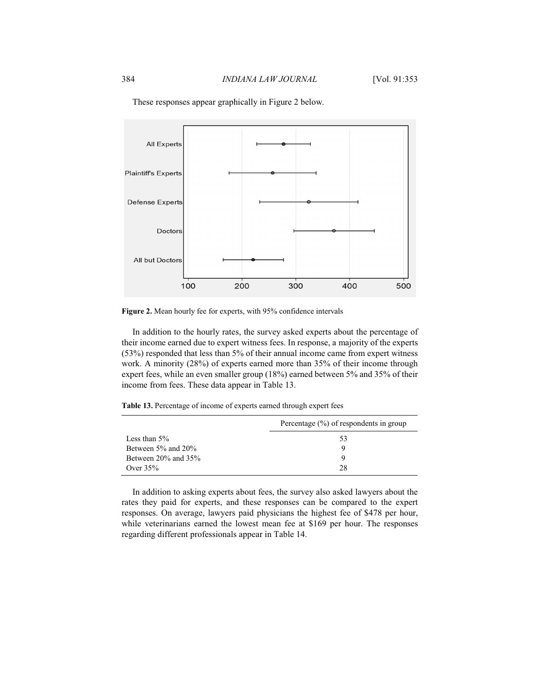

These responses appear graphically in Figure 2 below.

Figure 2. Mean hourly fee for experts, with 95% confidence intervals

In addition to the hourly rates, the survey asked experts about the percentage of their income earned due to expert witness fees. In response, a majority of the experts (53%) responded that less than 5% of their annual income came from expert witness work. A minority (28%) of experts earned more than 35% of their income through expert fees, while an even smaller group (18%) earned between 5% and 35% of their income from fees. These data appear in Table 13.

Table 13. Percentage of income of experts earned through expert fees

|                           | Percentage $(\%)$ of respondents in group |  |  |  |
|---------------------------|-------------------------------------------|--|--|--|
| Less than $5\%$           | 53                                        |  |  |  |
| Between $5\%$ and $20\%$  |                                           |  |  |  |
| Between $20\%$ and $35\%$ | 9                                         |  |  |  |
| Over $35%$                | 28                                        |  |  |  |

In addition to asking experts about fees, the survey also asked lawyers about the rates they paid for experts, and these responses can be compared to the expert responses. On average, lawyers paid physicians the highest fee of \$478 per hour, while veterinarians earned the lowest mean fee at \$169 per hour. The responses regarding different professionals appear in Table 14.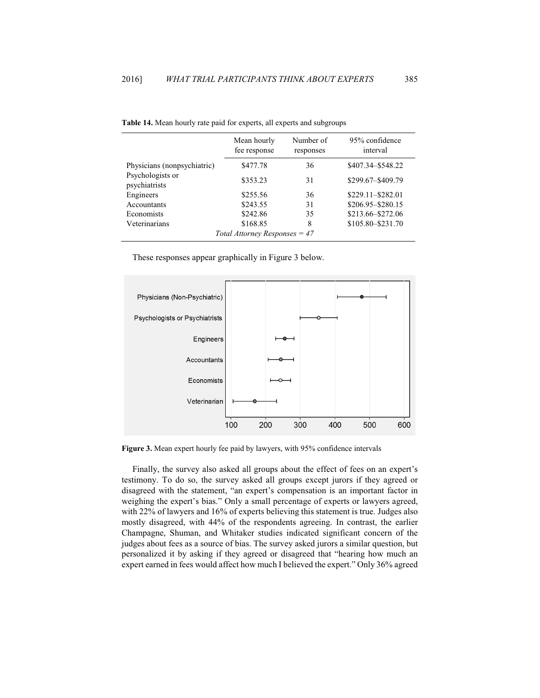|                                   | Mean hourly<br>fee response | Number of<br>responses | 95% confidence<br>interval |  |
|-----------------------------------|-----------------------------|------------------------|----------------------------|--|
| Physicians (nonpsychiatric)       | \$477.78                    | 36                     | \$407.34 - \$548.22        |  |
| Psychologists or<br>psychiatrists | \$353.23                    | 31                     | \$299.67-\$409.79          |  |
| Engineers                         | \$255.56                    | 36                     | \$229.11-\$282.01          |  |
| Accountants                       | \$243.55                    | 31                     | \$206.95-\$280.15          |  |
| Economists                        | \$242.86                    | 35                     | \$213.66-\$272.06          |  |
| Veterinarians                     | \$168.85                    | 8                      | \$105.80-\$231.70          |  |
| Total Attorney Responses $=$ 47   |                             |                        |                            |  |

| <b>Table 14.</b> Mean hourly rate paid for experts, all experts and subgroups |  |  |  |  |
|-------------------------------------------------------------------------------|--|--|--|--|
|-------------------------------------------------------------------------------|--|--|--|--|

These responses appear graphically in Figure 3 below.



Figure 3. Mean expert hourly fee paid by lawyers, with 95% confidence intervals

Finally, the survey also asked all groups about the effect of fees on an expert's testimony. To do so, the survey asked all groups except jurors if they agreed or disagreed with the statement, "an expert's compensation is an important factor in weighing the expert's bias." Only a small percentage of experts or lawyers agreed, with 22% of lawyers and 16% of experts believing this statement is true. Judges also mostly disagreed, with 44% of the respondents agreeing. In contrast, the earlier Champagne, Shuman, and Whitaker studies indicated significant concern of the judges about fees as a source of bias. The survey asked jurors a similar question, but personalized it by asking if they agreed or disagreed that "hearing how much an expert earned in fees would affect how much I believed the expert." Only 36% agreed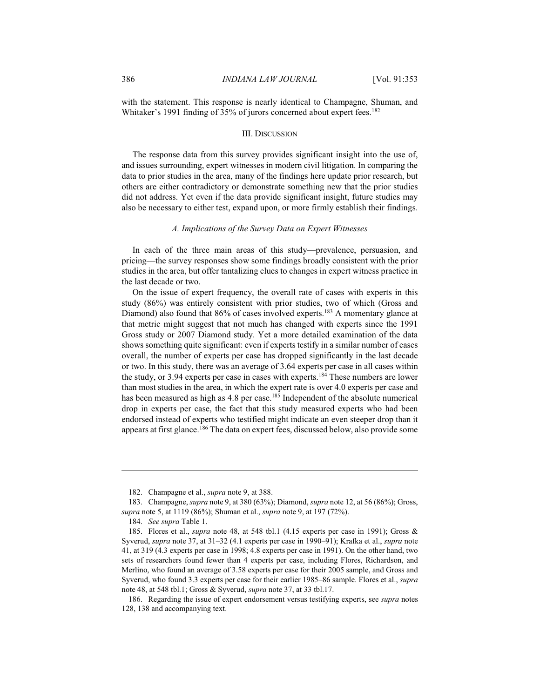with the statement. This response is nearly identical to Champagne, Shuman, and Whitaker's 1991 finding of 35% of jurors concerned about expert fees.<sup>182</sup>

#### **III. DISCUSSION**

The response data from this survey provides significant insight into the use of, and issues surrounding, expert witnesses in modern civil litigation. In comparing the data to prior studies in the area, many of the findings here update prior research, but others are either contradictory or demonstrate something new that the prior studies did not address. Yet even if the data provide significant insight, future studies may also be necessary to either test, expand upon, or more firmly establish their findings.

#### A. Implications of the Survey Data on Expert Witnesses

In each of the three main areas of this study—prevalence, persuasion, and pricing—the survey responses show some findings broadly consistent with the prior studies in the area, but offer tantalizing clues to changes in expert witness practice in the last decade or two.

On the issue of expert frequency, the overall rate of cases with experts in this study (86%) was entirely consistent with prior studies, two of which (Gross and Diamond) also found that 86% of cases involved experts.<sup>183</sup> A momentary glance at that metric might suggest that not much has changed with experts since the 1991 Gross study or 2007 Diamond study. Yet a more detailed examination of the data shows something quite significant: even if experts testify in a similar number of cases overall, the number of experts per case has dropped significantly in the last decade or two. In this study, there was an average of 3.64 experts per case in all cases within the study, or 3.94 experts per case in cases with experts.<sup>184</sup> These numbers are lower than most studies in the area, in which the expert rate is over 4.0 experts per case and has been measured as high as 4.8 per case.<sup>185</sup> Independent of the absolute numerical drop in experts per case, the fact that this study measured experts who had been endorsed instead of experts who testified might indicate an even steeper drop than it appears at first glance.<sup>186</sup> The data on expert fees, discussed below, also provide some

<sup>182.</sup> Champagne et al., *supra* note 9, at 388.

<sup>183.</sup> Champagne, *supra* note 9, at 380 (63%); Diamond, *supra* note 12, at 56 (86%); Gross, supra note 5, at 1119 (86%); Shuman et al., *supra* note 9, at 197 (72%).

<sup>184.</sup> See supra Table 1.

<sup>185.</sup> Flores et al., *supra* note 48, at 548 tbl.1 (4.15 experts per case in 1991); Gross & Syverud, *supra* note 37, at 31–32 (4.1 experts per case in 1990–91); Krafka et al., *supra* note 41, at 319 (4.3 experts per case in 1998; 4.8 experts per case in 1991). On the other hand, two sets of researchers found fewer than 4 experts per case, including Flores, Richardson, and Merlino, who found an average of 3.58 experts per case for their 2005 sample, and Gross and Syverud, who found 3.3 experts per case for their earlier 1985–86 sample. Flores et al., supra note 48, at 548 tbl.1; Gross & Syverud, *supra* note 37, at 33 tbl.17.

<sup>186.</sup> Regarding the issue of expert endorsement versus testifying experts, see *supra* notes 128, 138 and accompanying text.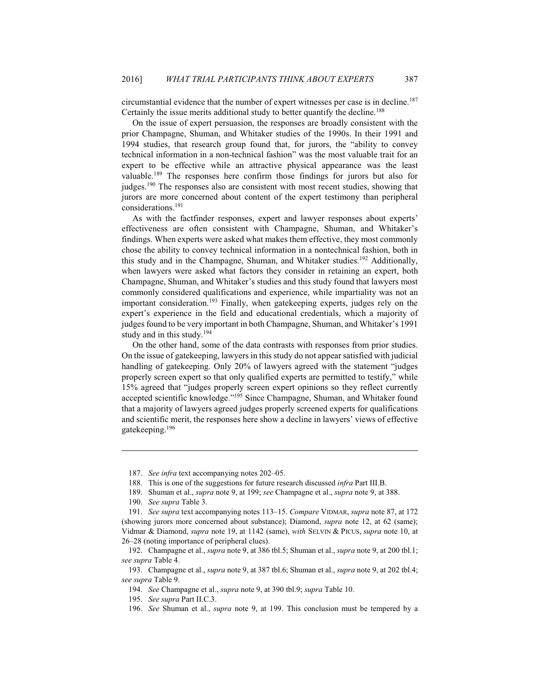circumstantial evidence that the number of expert witnesses per case is in decline.<sup>187</sup> Certainly the issue merits additional study to better quantify the decline.<sup>188</sup>

On the issue of expert persuasion, the responses are broadly consistent with the prior Champagne, Shuman, and Whitaker studies of the 1990s. In their 1991 and 1994 studies, that research group found that, for jurors, the "ability to convey technical information in a non-technical fashion" was the most valuable trait for an expert to be effective while an attractive physical appearance was the least valuable.<sup>189</sup> The responses here confirm those findings for jurors but also for judges.<sup>190</sup> The responses also are consistent with most recent studies, showing that jurors are more concerned about content of the expert testimony than peripheral considerations.<sup>191</sup>

As with the factfinder responses, expert and lawyer responses about experts' effectiveness are often consistent with Champagne, Shuman, and Whitaker's findings. When experts were asked what makes them effective, they most commonly chose the ability to convey technical information in a nontechnical fashion, both in this study and in the Champagne, Shuman, and Whitaker studies.<sup>192</sup> Additionally, when lawyers were asked what factors they consider in retaining an expert, both Champagne, Shuman, and Whitaker's studies and this study found that lawyers most commonly considered qualifications and experience, while impartiality was not an important consideration.<sup>193</sup> Finally, when gatekeeping experts, judges rely on the expert's experience in the field and educational credentials, which a majority of judges found to be very important in both Champagne, Shuman, and Whitaker's 1991 study and in this study.<sup>194</sup>

On the other hand, some of the data contrasts with responses from prior studies. On the issue of gate keeping, lawyers in this study do not appear satisfied with judicial handling of gate keeping. Only 20% of lawyers agreed with the statement "judges" properly screen expert so that only qualified experts are permitted to testify," while 15% agreed that "judges properly screen expert opinions so they reflect currently accepted scientific knowledge."<sup>195</sup> Since Champagne, Shuman, and Whitaker found that a majority of lawyers agreed judges properly screened experts for qualifications and scientific merit, the responses here show a decline in lawyers' views of effective gatekeeping.<sup>196</sup>

195. See supra Part II.C.3.

<sup>187.</sup> See infra text accompanying notes 202-05.

<sup>188.</sup> This is one of the suggestions for future research discussed infra Part III.B.

<sup>189.</sup> Shuman et al., *supra* note 9, at 199; see Champagne et al., *supra* note 9, at 388.

<sup>190.</sup> See supra Table 3.

<sup>191.</sup> See supra text accompanying notes 113–15. Compare VIDMAR, supra note 87, at 172 (showing jurors more concerned about substance); Diamond, *supra* note 12, at 62 (same); Vidmar & Diamond, supra note 19, at 1142 (same), with SELVIN & PICUS, supra note 10, at 26–28 (noting importance of peripheral clues).

<sup>192.</sup> Champagne et al., *supra* note 9, at 386 tbl.5; Shuman et al., *supra* note 9, at 200 tbl.1; see supra Table 4.

<sup>193.</sup> Champagne et al., *supra* note 9, at 387 tbl.6; Shuman et al., *supra* note 9, at 202 tbl.4; see supra Table 9.

<sup>194.</sup> See Champagne et al., supra note 9, at 390 tbl.9; supra Table 10.

<sup>196.</sup> See Shuman et al., *supra* note 9, at 199. This conclusion must be tempered by a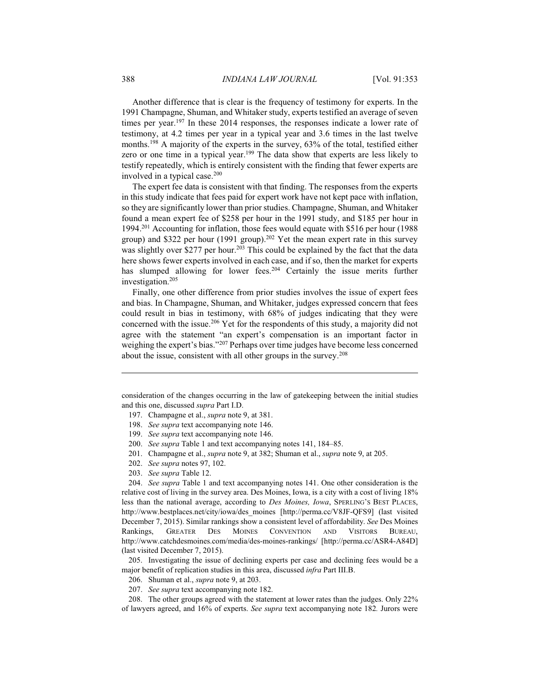Another difference that is clear is the frequency of testimony for experts. In the 1991 Champagne, Shuman, and Whitaker study, experts testified an average of seven times per year.<sup>197</sup> In these 2014 responses, the responses indicate a lower rate of testimony, at 4.2 times per year in a typical year and 3.6 times in the last twelve months.<sup>198</sup> A majority of the experts in the survey, 63% of the total, testified either zero or one time in a typical year.<sup>199</sup> The data show that experts are less likely to testify repeatedly, which is entirely consistent with the finding that fewer experts are involved in a typical case.<sup>200</sup>

The expert fee data is consistent with that finding. The responses from the experts in this study indicate that fees paid for expert work have not kept pace with inflation, so they are significantly lower than prior studies. Champagne, Shuman, and Whitaker found a mean expert fee of \$258 per hour in the 1991 study, and \$185 per hour in 1994.<sup>201</sup> Accounting for inflation, those fees would equate with \$516 per hour (1988 group) and \$322 per hour (1991 group).<sup>202</sup> Yet the mean expert rate in this survey was slightly over \$277 per hour.<sup>203</sup> This could be explained by the fact that the data here shows fewer experts involved in each case, and if so, then the market for experts has slumped allowing for lower fees.<sup>204</sup> Certainly the issue merits further investigation.<sup>205</sup>

Finally, one other difference from prior studies involves the issue of expert fees and bias. In Champagne, Shuman, and Whitaker, judges expressed concern that fees could result in bias in testimony, with 68% of judges indicating that they were concerned with the issue.<sup>206</sup> Yet for the respondents of this study, a majority did not agree with the statement "an expert's compensation is an important factor in weighing the expert's bias."207 Perhaps over time judges have become less concerned about the issue, consistent with all other groups in the survey.<sup>208</sup>

consideration of the changes occurring in the law of gate keeping between the initial studies and this one, discussed supra Part I.D.

- 197. Champagne et al., *supra* note 9, at 381.
- 198. See supra text accompanying note 146.
- 199. See supra text accompanying note 146.
- 200. See supra Table 1 and text accompanying notes 141, 184–85.
- 201. Champagne et al., *supra* note 9, at 382; Shuman et al., *supra* note 9, at 205.
- 202. See supra notes 97, 102.
- 203. See supra Table 12.

204. See supra Table 1 and text accompanying notes 141. One other consideration is the relative cost of living in the survey area. Des Moines, Iowa, is a city with a cost of living 18% less than the national average, according to *Des Moines, Iowa*, SPERLING'S BEST PLACES, http://www.bestplaces.net/city/iowa/des moines [http://perma.cc/V8JF-QFS9] (last visited December 7, 2015). Similar rankings show a consistent level of affordability. See Des Moines Rankings, GREATER  $_{\rm{DES}}$ **MOINES CONVENTION** AND **VISITORS** BUREAU, http://www.catchdesmoines.com/media/des-moines-rankings/ [http://perma.cc/ASR4-A84D] (last visited December 7, 2015).

205. Investigating the issue of declining experts per case and declining fees would be a major benefit of replication studies in this area, discussed *infra* Part III.B.

206. Shuman et al., *supra* note 9, at 203.

207. See supra text accompanying note 182.

208. The other groups agreed with the statement at lower rates than the judges. Only 22% of lawyers agreed, and 16% of experts. See supra text accompanying note 182. Jurors were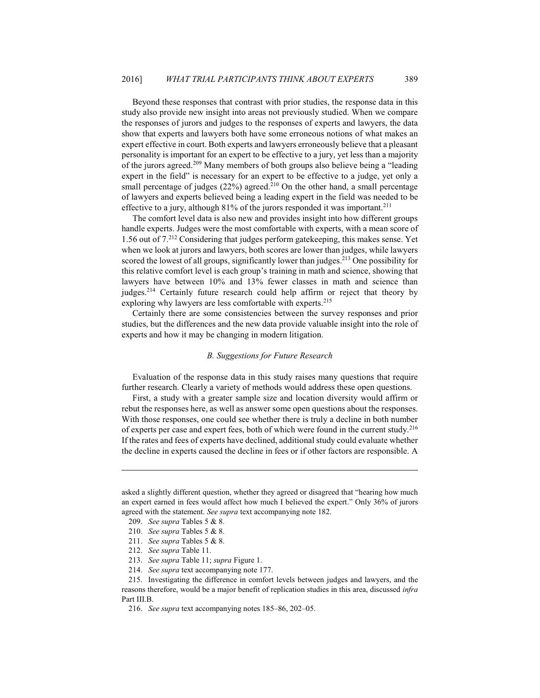Beyond these responses that contrast with prior studies, the response data in this study also provide new insight into areas not previously studied. When we compare the responses of jurors and judges to the responses of experts and lawyers, the data show that experts and lawyers both have some erroneous notions of what makes an expert effective in court. Both experts and lawyers erroneously believe that a pleasant personality is important for an expert to be effective to a jury, yet less than a majority of the jurors agreed.<sup>209</sup> Many members of both groups also believe being a "leading expert in the field" is necessary for an expert to be effective to a judge, yet only a small percentage of judges (22%) agreed.<sup>210</sup> On the other hand, a small percentage of lawyers and experts believed being a leading expert in the field was needed to be effective to a jury, although 81% of the jurors responded it was important.<sup>211</sup>

The comfort level data is also new and provides insight into how different groups handle experts. Judges were the most comfortable with experts, with a mean score of 1.56 out of 7.<sup>212</sup> Considering that judges perform gatekeeping, this makes sense. Yet when we look at jurors and lawyers, both scores are lower than judges, while lawyers scored the lowest of all groups, significantly lower than judges.<sup>213</sup> One possibility for this relative comfort level is each group's training in math and science, showing that lawyers have between 10% and 13% fewer classes in math and science than judges.<sup>214</sup> Certainly future research could help affirm or reject that theory by exploring why lawyers are less comfortable with experts.<sup>215</sup>

Certainly there are some consistencies between the survey responses and prior studies, but the differences and the new data provide valuable insight into the role of experts and how it may be changing in modern litigation.

#### **B.** Suggestions for Future Research

Evaluation of the response data in this study raises many questions that require further research. Clearly a variety of methods would address these open questions.

First, a study with a greater sample size and location diversity would affirm or rebut the responses here, as well as answer some open questions about the responses. With those responses, one could see whether there is truly a decline in both number of experts per case and expert fees, both of which were found in the current study.<sup>216</sup> If the rates and fees of experts have declined, additional study could evaluate whether the decline in experts caused the decline in fees or if other factors are responsible. A

asked a slightly different question, whether they agreed or disagreed that "hearing how much an expert earned in fees would affect how much I believed the expert." Only 36% of jurors agreed with the statement. See supra text accompanying note 182.

<sup>209.</sup> See supra Tables 5 & 8.

<sup>210.</sup> See supra Tables 5 & 8.

<sup>211.</sup> See supra Tables 5 & 8.

<sup>212.</sup> See supra Table 11.

<sup>213.</sup> See supra Table 11; supra Figure 1.

<sup>214.</sup> See supra text accompanying note 177.

<sup>215.</sup> Investigating the difference in comfort levels between judges and lawyers, and the reasons therefore, would be a major benefit of replication studies in this area, discussed infra Part III.B.

<sup>216.</sup> See supra text accompanying notes 185-86, 202-05.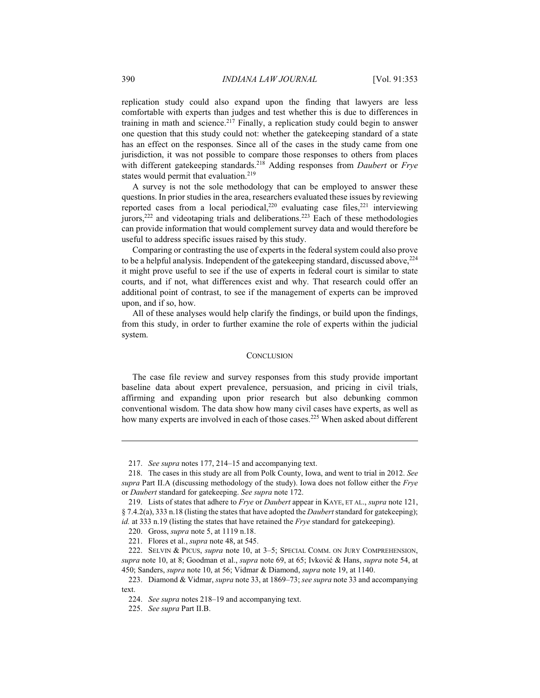replication study could also expand upon the finding that lawyers are less comfortable with experts than judges and test whether this is due to differences in training in math and science.<sup>217</sup> Finally, a replication study could begin to answer one question that this study could not: whether the gatekeeping standard of a state has an effect on the responses. Since all of the cases in the study came from one jurisdiction, it was not possible to compare those responses to others from places with different gatekeeping standards.<sup>218</sup> Adding responses from *Daubert* or Frye states would permit that evaluation.<sup>219</sup>

A survey is not the sole methodology that can be employed to answer these questions. In prior studies in the area, researchers evaluated these issues by reviewing reported cases from a local periodical,<sup>220</sup> evaluating case files,<sup>221</sup> interviewing jurors,<sup>222</sup> and videotaping trials and deliberations.<sup>223</sup> Each of these methodologies can provide information that would complement survey data and would therefore be useful to address specific issues raised by this study.

Comparing or contrasting the use of experts in the federal system could also prove to be a helpful analysis. Independent of the gatekeeping standard, discussed above, <sup>224</sup> it might prove useful to see if the use of experts in federal court is similar to state courts, and if not, what differences exist and why. That research could offer an additional point of contrast, to see if the management of experts can be improved upon, and if so, how.

All of these analyses would help clarify the findings, or build upon the findings, from this study, in order to further examine the role of experts within the judicial system.

#### **CONCLUSION**

The case file review and survey responses from this study provide important baseline data about expert prevalence, persuasion, and pricing in civil trials, affirming and expanding upon prior research but also debunking common conventional wisdom. The data show how many civil cases have experts, as well as how many experts are involved in each of those cases.<sup>225</sup> When asked about different

<sup>217.</sup> See supra notes 177, 214–15 and accompanying text.

<sup>218.</sup> The cases in this study are all from Polk County, Iowa, and went to trial in 2012. See supra Part II.A (discussing methodology of the study). Iowa does not follow either the Frye or Daubert standard for gatekeeping. See supra note 172.

<sup>219.</sup> Lists of states that adhere to *Frye* or *Daubert* appear in KAYE, ET AL., *supra* note 121, § 7.4.2(a), 333 n.18 (listing the states that have adopted the *Daubert* standard for gatekeeping); id. at 333 n.19 (listing the states that have retained the  $Frye$  standard for gatekeeping).

<sup>220.</sup> Gross, *supra* note 5, at 1119 n.18.

<sup>221.</sup> Flores et al., *supra* note 48, at 545.

<sup>222.</sup> SELVIN & PICUS, supra note 10, at 3-5; SPECIAL COMM. ON JURY COMPREHENSION, supra note 10, at 8; Goodman et al., *supra* note 69, at 65; Ivković & Hans, *supra* note 54, at 450; Sanders, *supra* note 10, at 56; Vidmar & Diamond, *supra* note 19, at 1140.

<sup>223.</sup> Diamond & Vidmar, *supra* note 33, at 1869–73; see supra note 33 and accompanying text.

<sup>224.</sup> See supra notes 218–19 and accompanying text.

<sup>225.</sup> See supra Part II.B.